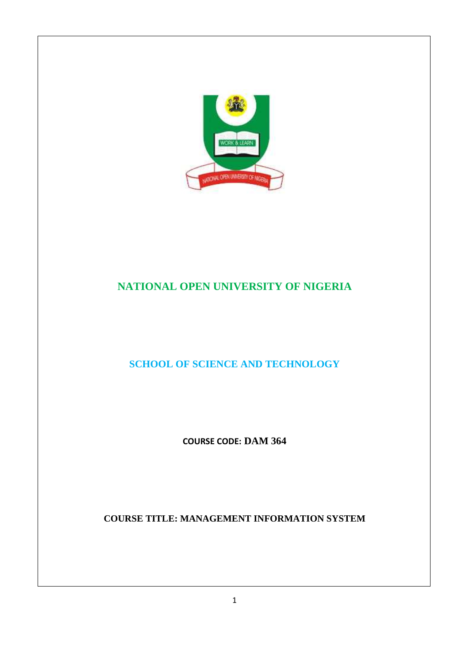

## **NATIONAL OPEN UNIVERSITY OF NIGERIA**

**SCHOOL OF SCIENCE AND TECHNOLOGY** 

**COURSE CODE: DAM 364** 

**COURSE TITLE: MANAGEMENT INFORMATION SYSTEM**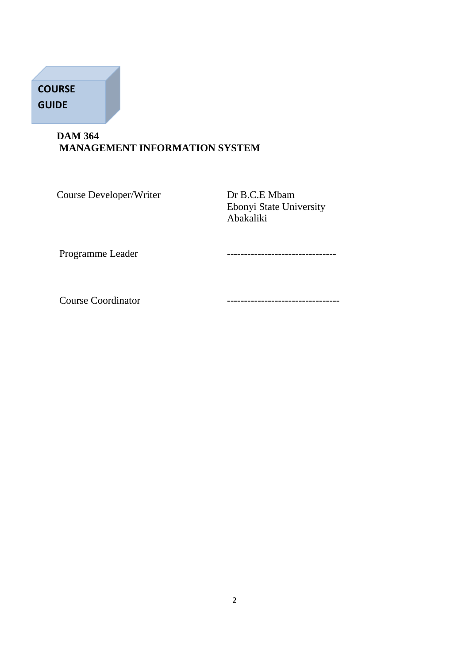# **COURSE GUIDE**

## **DAM 364 MANAGEMENT INFORMATION SYSTEM**

Course Developer/Writer Dr B.C.E Mbam

 Ebonyi State University Abakaliki

Programme Leader **-----------------------------**

Course Coordinator **--------------------------------**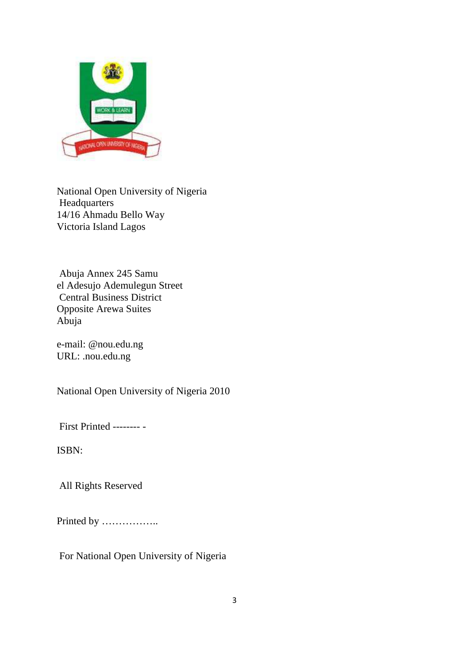

National Open University of Nigeria Headquarters 14/16 Ahmadu Bello Way Victoria Island Lagos

 Abuja Annex 245 Samu el Adesujo Ademulegun Street Central Business District Opposite Arewa Suites Abuja

e-mail: @nou.edu.ng URL: .nou.edu.ng

National Open University of Nigeria 2010

First Printed -------- -

ISBN:

All Rights Reserved

Printed by ……………..

For National Open University of Nigeria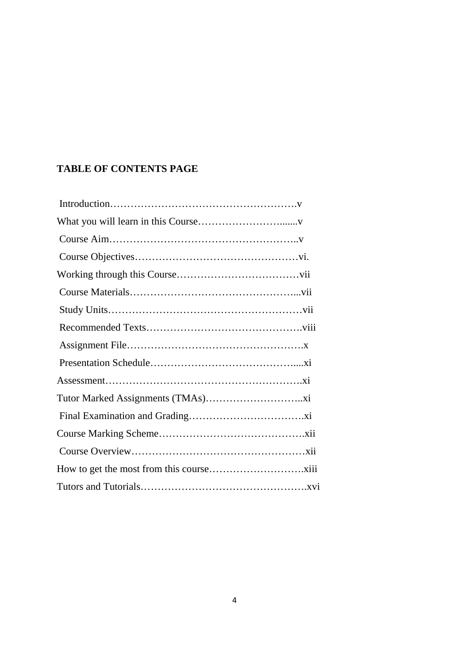## **TABLE OF CONTENTS PAGE**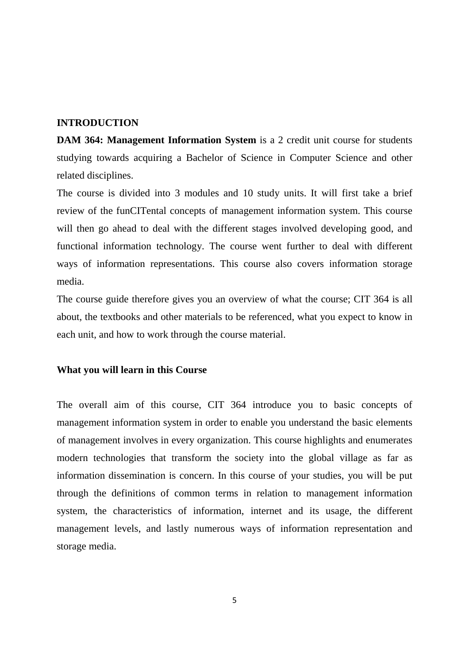#### **INTRODUCTION**

**DAM 364: Management Information System** is a 2 credit unit course for students studying towards acquiring a Bachelor of Science in Computer Science and other related disciplines.

The course is divided into 3 modules and 10 study units. It will first take a brief review of the funCITental concepts of management information system. This course will then go ahead to deal with the different stages involved developing good, and functional information technology. The course went further to deal with different ways of information representations. This course also covers information storage media.

The course guide therefore gives you an overview of what the course; CIT 364 is all about, the textbooks and other materials to be referenced, what you expect to know in each unit, and how to work through the course material.

#### **What you will learn in this Course**

The overall aim of this course, CIT 364 introduce you to basic concepts of management information system in order to enable you understand the basic elements of management involves in every organization. This course highlights and enumerates modern technologies that transform the society into the global village as far as information dissemination is concern. In this course of your studies, you will be put through the definitions of common terms in relation to management information system, the characteristics of information, internet and its usage, the different management levels, and lastly numerous ways of information representation and storage media.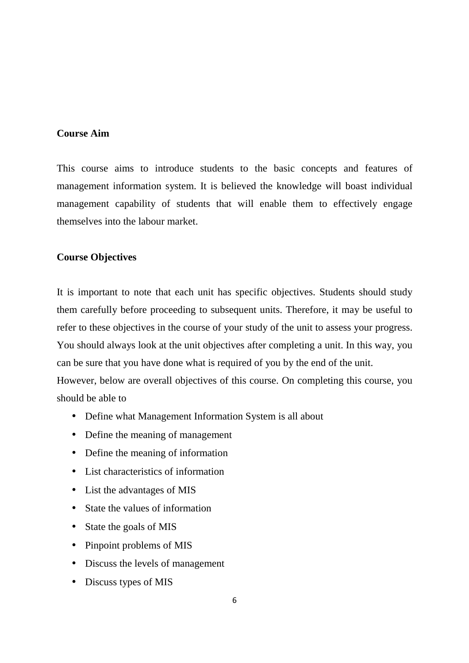## **Course Aim**

This course aims to introduce students to the basic concepts and features of management information system. It is believed the knowledge will boast individual management capability of students that will enable them to effectively engage themselves into the labour market.

## **Course Objectives**

It is important to note that each unit has specific objectives. Students should study them carefully before proceeding to subsequent units. Therefore, it may be useful to refer to these objectives in the course of your study of the unit to assess your progress. You should always look at the unit objectives after completing a unit. In this way, you can be sure that you have done what is required of you by the end of the unit. However, below are overall objectives of this course. On completing this course, you should be able to

- Define what Management Information System is all about
- Define the meaning of management
- Define the meaning of information
- List characteristics of information
- List the advantages of MIS
- State the values of information
- State the goals of MIS
- Pinpoint problems of MIS
- Discuss the levels of management
- Discuss types of MIS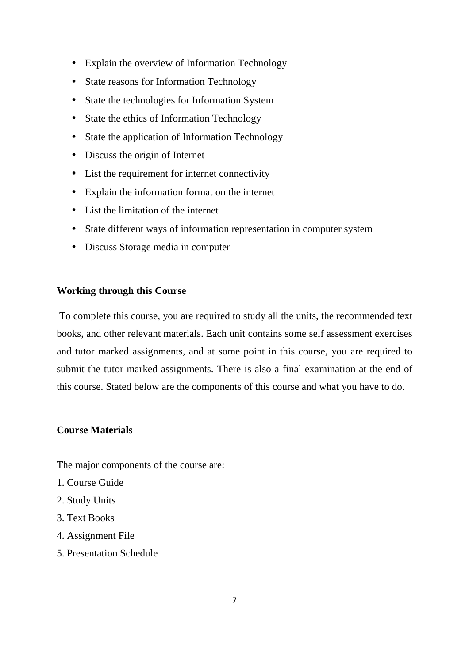- Explain the overview of Information Technology
- State reasons for Information Technology
- State the technologies for Information System
- State the ethics of Information Technology
- State the application of Information Technology
- Discuss the origin of Internet
- List the requirement for internet connectivity
- Explain the information format on the internet
- List the limitation of the internet
- State different ways of information representation in computer system
- Discuss Storage media in computer

#### **Working through this Course**

To complete this course, you are required to study all the units, the recommended text books, and other relevant materials. Each unit contains some self assessment exercises and tutor marked assignments, and at some point in this course, you are required to submit the tutor marked assignments. There is also a final examination at the end of this course. Stated below are the components of this course and what you have to do.

## **Course Materials**

The major components of the course are:

- 1. Course Guide
- 2. Study Units
- 3. Text Books
- 4. Assignment File
- 5. Presentation Schedule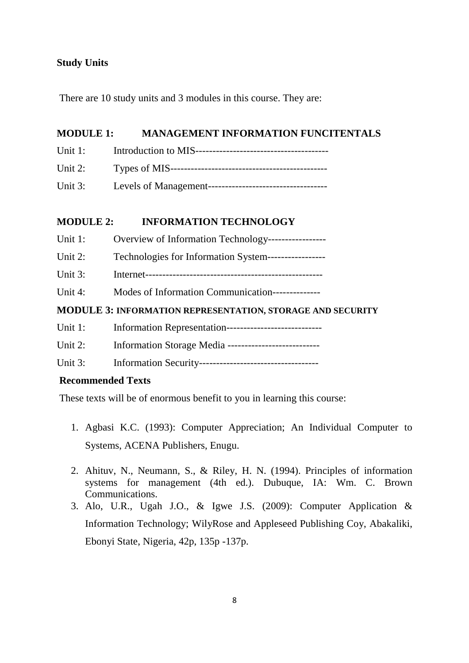## **Study Units**

There are 10 study units and 3 modules in this course. They are:

## **MODULE 1: MANAGEMENT INFORMATION FUNCITENTALS**

- Unit 1: Introduction to MIS---------------------------------------
- Unit 2: Types of MIS----------------------------------------------
- Unit 3: Levels of Management-----------------------------------

## **MODULE 2: INFORMATION TECHNOLOGY**

- Unit 1: Overview of Information Technology-----------------
- Unit 2: Technologies for Information System-----------------
- Unit 3: Internet----------------------------------------------------
- Unit 4: Modes of Information Communication---------------

## **MODULE 3: INFORMATION REPRESENTATION, STORAGE AND SECURITY**

- Unit 1: Information Representation----------------------------
- Unit 2: Information Storage Media ---------------------------
- Unit 3: Information Security-----------------------------------

## **Recommended Texts**

These texts will be of enormous benefit to you in learning this course:

- 1. Agbasi K.C. (1993): Computer Appreciation; An Individual Computer to Systems, ACENA Publishers, Enugu.
- 2. Ahituv, N., Neumann, S., & Riley, H. N. (1994). Principles of information systems for management (4th ed.). Dubuque, IA: Wm. C. Brown Communications.
- 3. Alo, U.R., Ugah J.O., & Igwe J.S. (2009): Computer Application & Information Technology; WilyRose and Appleseed Publishing Coy, Abakaliki, Ebonyi State, Nigeria, 42p, 135p -137p.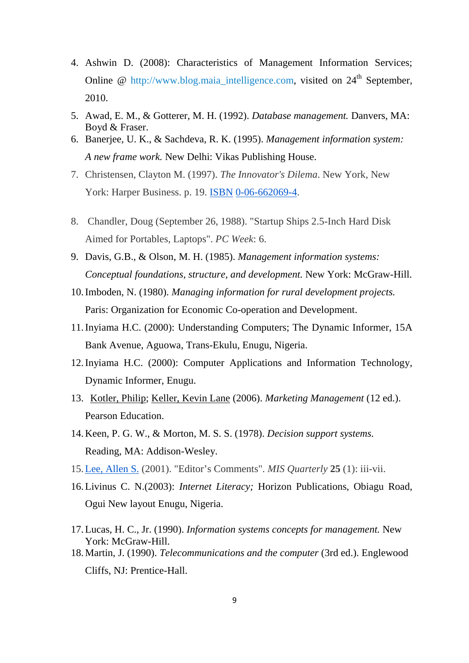- 4. Ashwin D. (2008): Characteristics of Management Information Services; Online  $\omega$  http://www.blog.maia\_intelligence.com, visited on  $24<sup>th</sup>$  September, 2010.
- 5. Awad, E. M., & Gotterer, M. H. (1992). *Database management.* Danvers, MA: Boyd & Fraser.
- 6. Banerjee, U. K., & Sachdeva, R. K. (1995). *Management information system: A new frame work.* New Delhi: Vikas Publishing House.
- 7. Christensen, Clayton M. (1997). *The Innovator's Dilema*. New York, New York: Harper Business. p. 19. ISBN 0-06-662069-4.
- 8. Chandler, Doug (September 26, 1988). "Startup Ships 2.5-Inch Hard Disk Aimed for Portables, Laptops". *PC Week*: 6.
- 9. Davis, G.B., & Olson, M. H. (1985). *Management information systems: Conceptual foundations, structure, and development.* New York: McGraw-Hill.
- 10.Imboden, N. (1980). *Managing information for rural development projects.* Paris: Organization for Economic Co-operation and Development.
- 11.Inyiama H.C. (2000): Understanding Computers; The Dynamic Informer, 15A Bank Avenue, Aguowa, Trans-Ekulu, Enugu, Nigeria.
- 12.Inyiama H.C. (2000): Computer Applications and Information Technology, Dynamic Informer, Enugu.
- 13. Kotler, Philip; Keller, Kevin Lane (2006). *Marketing Management* (12 ed.). Pearson Education.
- 14.Keen, P. G. W., & Morton, M. S. S. (1978). *Decision support systems.* Reading, MA: Addison-Wesley.
- 15.Lee, Allen S. (2001). "Editor's Comments". *MIS Quarterly* **25** (1): iii-vii.
- 16.Livinus C. N.(2003): *Internet Literacy;* Horizon Publications, Obiagu Road, Ogui New layout Enugu, Nigeria.
- 17.Lucas, H. C., Jr. (1990). *Information systems concepts for management.* New York: McGraw-Hill.
- 18.Martin, J. (1990). *Telecommunications and the computer* (3rd ed.). Englewood Cliffs, NJ: Prentice-Hall.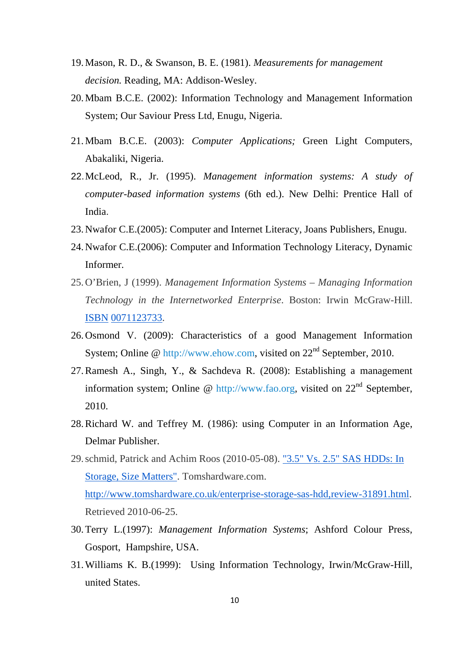- 19.Mason, R. D., & Swanson, B. E. (1981). *Measurements for management decision.* Reading, MA: Addison-Wesley.
- 20.Mbam B.C.E. (2002): Information Technology and Management Information System; Our Saviour Press Ltd, Enugu, Nigeria.
- 21.Mbam B.C.E. (2003): *Computer Applications;* Green Light Computers, Abakaliki, Nigeria.
- 22. McLeod, R., Jr. (1995). *Management information systems: A study of computer-based information systems* (6th ed.). New Delhi: Prentice Hall of India.
- 23.Nwafor C.E.(2005): Computer and Internet Literacy, Joans Publishers, Enugu.
- 24.Nwafor C.E.(2006): Computer and Information Technology Literacy, Dynamic Informer.
- 25.O'Brien, J (1999). *Management Information Systems Managing Information Technology in the Internetworked Enterprise*. Boston: Irwin McGraw-Hill. ISBN 0071123733.
- 26.Osmond V. (2009): Characteristics of a good Management Information System; Online @ http://www.ehow.com, visited on  $22<sup>nd</sup>$  September, 2010.
- 27.Ramesh A., Singh, Y., & Sachdeva R. (2008): Establishing a management information system; Online @ http://www.fao.org, visited on  $22<sup>nd</sup>$  September, 2010.
- 28.Richard W. and Teffrey M. (1986): using Computer in an Information Age, Delmar Publisher.
- 29.schmid, Patrick and Achim Roos (2010-05-08). "3.5" Vs. 2.5" SAS HDDs: In Storage, Size Matters". Tomshardware.com. http://www.tomshardware.co.uk/enterprise-storage-sas-hdd,review-31891.html. Retrieved 2010-06-25.
- 30.Terry L.(1997): *Management Information Systems*; Ashford Colour Press, Gosport, Hampshire, USA.
- 31.Williams K. B.(1999): Using Information Technology, Irwin/McGraw-Hill, united States.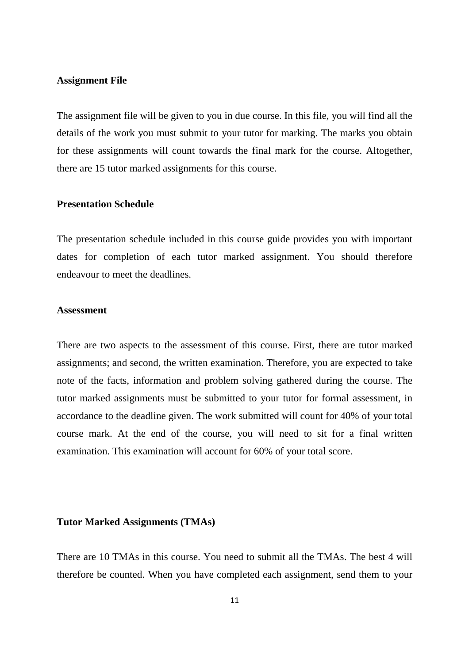#### **Assignment File**

The assignment file will be given to you in due course. In this file, you will find all the details of the work you must submit to your tutor for marking. The marks you obtain for these assignments will count towards the final mark for the course. Altogether, there are 15 tutor marked assignments for this course.

#### **Presentation Schedule**

The presentation schedule included in this course guide provides you with important dates for completion of each tutor marked assignment. You should therefore endeavour to meet the deadlines.

#### **Assessment**

There are two aspects to the assessment of this course. First, there are tutor marked assignments; and second, the written examination. Therefore, you are expected to take note of the facts, information and problem solving gathered during the course. The tutor marked assignments must be submitted to your tutor for formal assessment, in accordance to the deadline given. The work submitted will count for 40% of your total course mark. At the end of the course, you will need to sit for a final written examination. This examination will account for 60% of your total score.

#### **Tutor Marked Assignments (TMAs)**

There are 10 TMAs in this course. You need to submit all the TMAs. The best 4 will therefore be counted. When you have completed each assignment, send them to your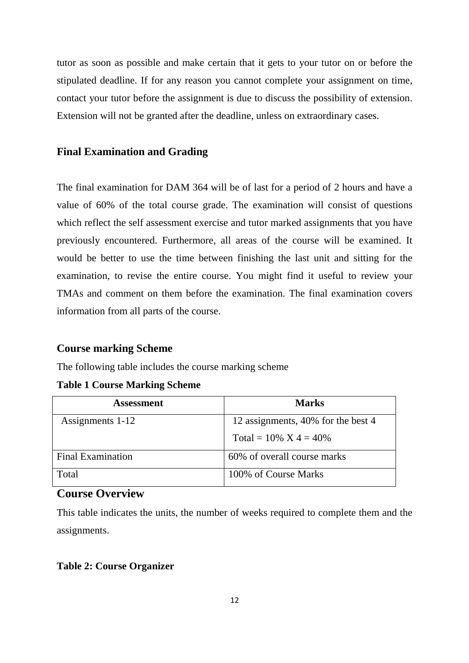tutor as soon as possible and make certain that it gets to your tutor on or before the stipulated deadline. If for any reason you cannot complete your assignment on time, contact your tutor before the assignment is due to discuss the possibility of extension. Extension will not be granted after the deadline, unless on extraordinary cases.

## **Final Examination and Grading**

The final examination for DAM 364 will be of last for a period of 2 hours and have a value of 60% of the total course grade. The examination will consist of questions which reflect the self assessment exercise and tutor marked assignments that you have previously encountered. Furthermore, all areas of the course will be examined. It would be better to use the time between finishing the last unit and sitting for the examination, to revise the entire course. You might find it useful to review your TMAs and comment on them before the examination. The final examination covers information from all parts of the course.

#### **Course marking Scheme**

The following table includes the course marking scheme

#### **Table 1 Course Marking Scheme**

| <b>Assessment</b>        | <b>Marks</b>                       |
|--------------------------|------------------------------------|
| Assignments 1-12         | 12 assignments, 40% for the best 4 |
|                          | Total = $10\%$ X 4 = $40\%$        |
| <b>Final Examination</b> | 60% of overall course marks        |
| Total                    | 100% of Course Marks               |

## **Course Overview**

This table indicates the units, the number of weeks required to complete them and the assignments.

#### **Table 2: Course Organizer**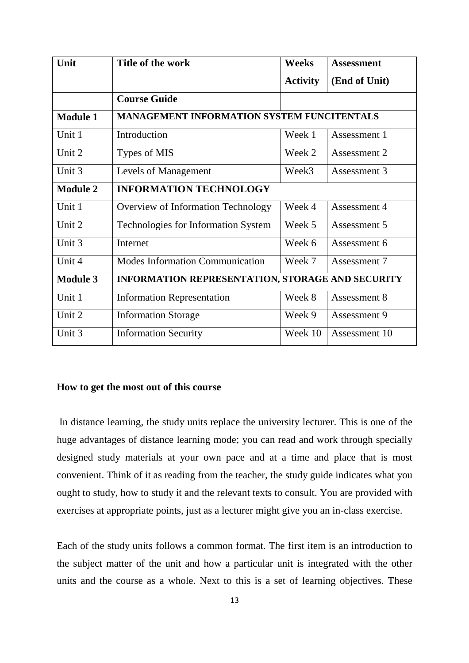| Unit            | Title of the work                                 | <b>Weeks</b>    | <b>Assessment</b> |
|-----------------|---------------------------------------------------|-----------------|-------------------|
|                 |                                                   | <b>Activity</b> | (End of Unit)     |
|                 | <b>Course Guide</b>                               |                 |                   |
| <b>Module 1</b> | <b>MANAGEMENT INFORMATION SYSTEM FUNCITENTALS</b> |                 |                   |
| Unit 1          | Introduction                                      | Week 1          | Assessment 1      |
| Unit 2          | Types of MIS                                      | Week 2          | Assessment 2      |
| Unit 3          | Levels of Management                              | Week3           | Assessment 3      |
| <b>Module 2</b> | <b>INFORMATION TECHNOLOGY</b>                     |                 |                   |
| Unit 1          | Overview of Information Technology                | Week 4          | Assessment 4      |
| Unit 2          | Technologies for Information System               | Week 5          | Assessment 5      |
| Unit 3          | Internet                                          | Week 6          | Assessment 6      |
| Unit 4          | <b>Modes Information Communication</b>            | Week 7          | Assessment 7      |
| <b>Module 3</b> | INFORMATION REPRESENTATION, STORAGE AND SECURITY  |                 |                   |
| Unit 1          | <b>Information Representation</b>                 | Week 8          | Assessment 8      |
| Unit 2          | <b>Information Storage</b>                        | Week 9          | Assessment 9      |
| Unit 3          | <b>Information Security</b>                       | Week 10         | Assessment 10     |

#### **How to get the most out of this course**

In distance learning, the study units replace the university lecturer. This is one of the huge advantages of distance learning mode; you can read and work through specially designed study materials at your own pace and at a time and place that is most convenient. Think of it as reading from the teacher, the study guide indicates what you ought to study, how to study it and the relevant texts to consult. You are provided with exercises at appropriate points, just as a lecturer might give you an in-class exercise.

Each of the study units follows a common format. The first item is an introduction to the subject matter of the unit and how a particular unit is integrated with the other units and the course as a whole. Next to this is a set of learning objectives. These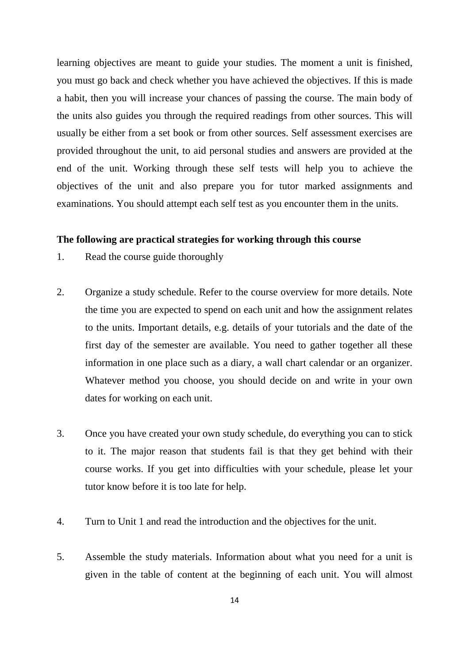learning objectives are meant to guide your studies. The moment a unit is finished, you must go back and check whether you have achieved the objectives. If this is made a habit, then you will increase your chances of passing the course. The main body of the units also guides you through the required readings from other sources. This will usually be either from a set book or from other sources. Self assessment exercises are provided throughout the unit, to aid personal studies and answers are provided at the end of the unit. Working through these self tests will help you to achieve the objectives of the unit and also prepare you for tutor marked assignments and examinations. You should attempt each self test as you encounter them in the units.

#### **The following are practical strategies for working through this course**

- 1. Read the course guide thoroughly
- 2. Organize a study schedule. Refer to the course overview for more details. Note the time you are expected to spend on each unit and how the assignment relates to the units. Important details, e.g. details of your tutorials and the date of the first day of the semester are available. You need to gather together all these information in one place such as a diary, a wall chart calendar or an organizer. Whatever method you choose, you should decide on and write in your own dates for working on each unit.
- 3. Once you have created your own study schedule, do everything you can to stick to it. The major reason that students fail is that they get behind with their course works. If you get into difficulties with your schedule, please let your tutor know before it is too late for help.
- 4. Turn to Unit 1 and read the introduction and the objectives for the unit.
- 5. Assemble the study materials. Information about what you need for a unit is given in the table of content at the beginning of each unit. You will almost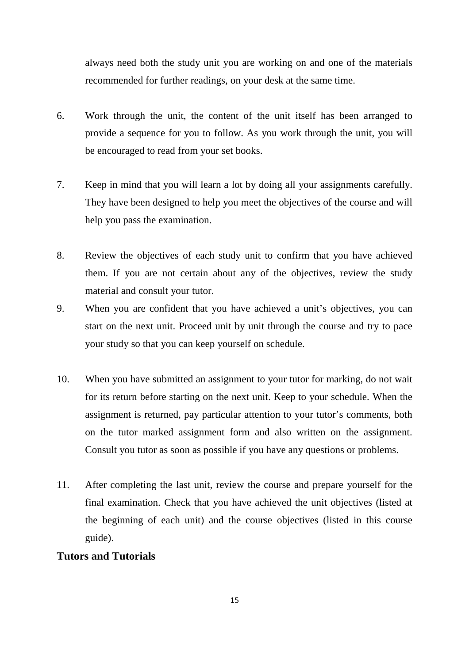always need both the study unit you are working on and one of the materials recommended for further readings, on your desk at the same time.

- 6. Work through the unit, the content of the unit itself has been arranged to provide a sequence for you to follow. As you work through the unit, you will be encouraged to read from your set books.
- 7. Keep in mind that you will learn a lot by doing all your assignments carefully. They have been designed to help you meet the objectives of the course and will help you pass the examination.
- 8. Review the objectives of each study unit to confirm that you have achieved them. If you are not certain about any of the objectives, review the study material and consult your tutor.
- 9. When you are confident that you have achieved a unit's objectives, you can start on the next unit. Proceed unit by unit through the course and try to pace your study so that you can keep yourself on schedule.
- 10. When you have submitted an assignment to your tutor for marking, do not wait for its return before starting on the next unit. Keep to your schedule. When the assignment is returned, pay particular attention to your tutor's comments, both on the tutor marked assignment form and also written on the assignment. Consult you tutor as soon as possible if you have any questions or problems.
- 11. After completing the last unit, review the course and prepare yourself for the final examination. Check that you have achieved the unit objectives (listed at the beginning of each unit) and the course objectives (listed in this course guide).

## **Tutors and Tutorials**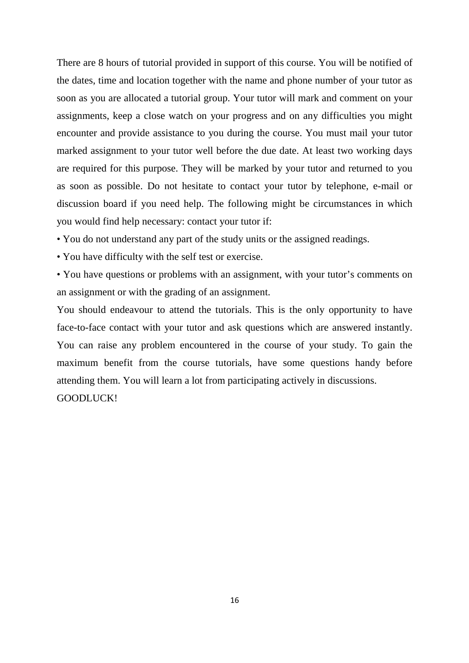There are 8 hours of tutorial provided in support of this course. You will be notified of the dates, time and location together with the name and phone number of your tutor as soon as you are allocated a tutorial group. Your tutor will mark and comment on your assignments, keep a close watch on your progress and on any difficulties you might encounter and provide assistance to you during the course. You must mail your tutor marked assignment to your tutor well before the due date. At least two working days are required for this purpose. They will be marked by your tutor and returned to you as soon as possible. Do not hesitate to contact your tutor by telephone, e-mail or discussion board if you need help. The following might be circumstances in which you would find help necessary: contact your tutor if:

- You do not understand any part of the study units or the assigned readings.
- You have difficulty with the self test or exercise.
- You have questions or problems with an assignment, with your tutor's comments on an assignment or with the grading of an assignment.

You should endeavour to attend the tutorials. This is the only opportunity to have face-to-face contact with your tutor and ask questions which are answered instantly. You can raise any problem encountered in the course of your study. To gain the maximum benefit from the course tutorials, have some questions handy before attending them. You will learn a lot from participating actively in discussions. GOODLUCK!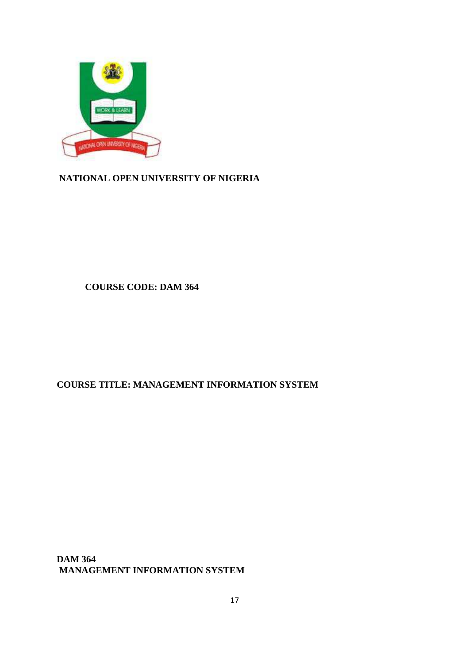

**NATIONAL OPEN UNIVERSITY OF NIGERIA**

 **COURSE CODE: DAM 364** 

## **COURSE TITLE: MANAGEMENT INFORMATION SYSTEM**

**DAM 364 MANAGEMENT INFORMATION SYSTEM**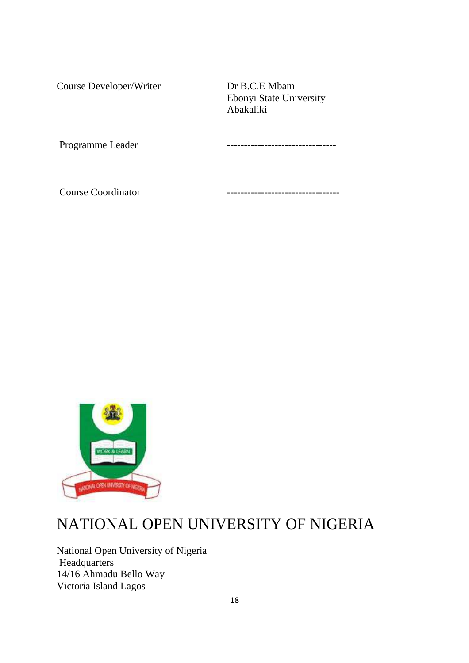Course Developer/Writer Dr B.C.E Mbam

 Ebonyi State University Abakaliki

Programme Leader  $\qquad \qquad \ldots$ 

Course Coordinator **--------------------------------**



# NATIONAL OPEN UNIVERSITY OF NIGERIA

National Open University of Nigeria **Headquarters** 14/16 Ahmadu Bello Way Victoria Island Lagos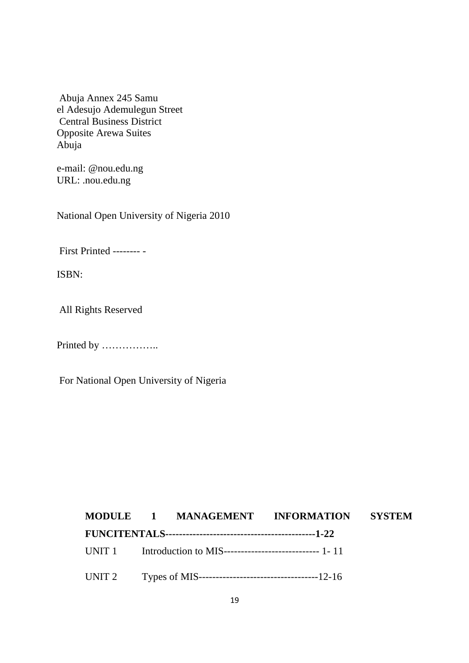Abuja Annex 245 Samu el Adesujo Ademulegun Street Central Business District Opposite Arewa Suites Abuja

e-mail: @nou.edu.ng URL: .nou.edu.ng

National Open University of Nigeria 2010

First Printed -------- -

ISBN:

All Rights Reserved

Printed by ……………..

For National Open University of Nigeria

# **MODULE 1 MANAGEMENT INFORMATION SYSTEM FUNCITENTALS--------------------------------------------1-22**  UNIT 1 Introduction to MIS---------------------------- 1- 11 UNIT 2 Types of MIS-----------------------------------12-16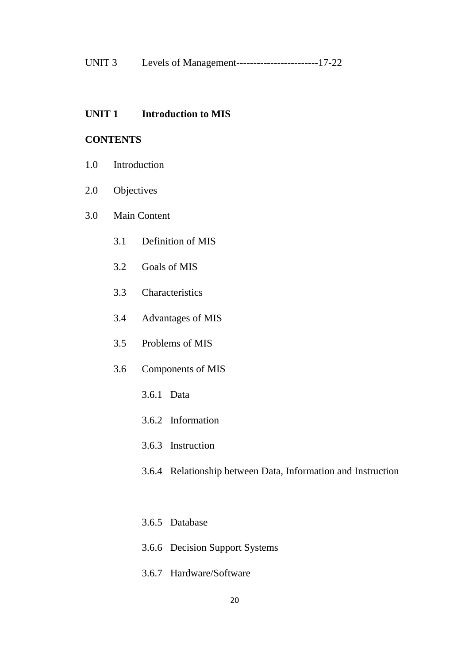| UNIT <sub>3</sub> | Levels of Management----------------------------17-22 |  |
|-------------------|-------------------------------------------------------|--|
|-------------------|-------------------------------------------------------|--|

#### **UNIT 1 Introduction to MIS**

#### **CONTENTS**

- 1.0 Introduction
- 2.0 Objectives
- 3.0 Main Content
	- 3.1 Definition of MIS
	- 3.2 Goals of MIS
	- 3.3 Characteristics
	- 3.4 Advantages of MIS
	- 3.5 Problems of MIS
	- 3.6 Components of MIS
		- 3.6.1 Data
		- 3.6.2 Information
		- 3.6.3 Instruction
		- 3.6.4 Relationship between Data, Information and Instruction
		- 3.6.5 Database
		- 3.6.6 Decision Support Systems
		- 3.6.7 Hardware/Software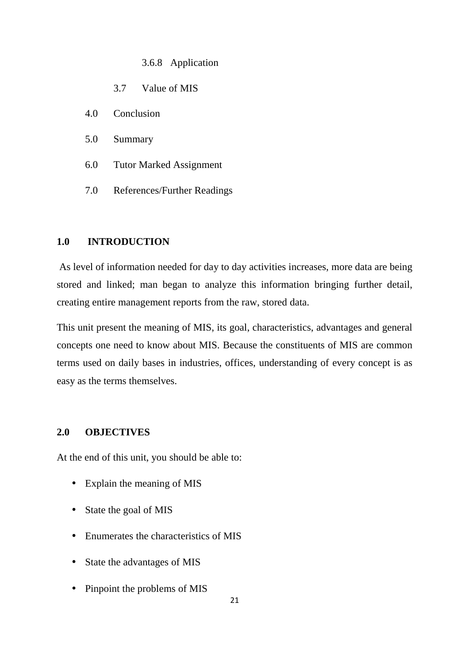3.6.8 Application

- 3.7 Value of MIS
- 4.0 Conclusion
- 5.0 Summary
- 6.0 Tutor Marked Assignment
- 7.0 References/Further Readings

#### **1.0 INTRODUCTION**

 As level of information needed for day to day activities increases, more data are being stored and linked; man began to analyze this information bringing further detail, creating entire management reports from the raw, stored data.

This unit present the meaning of MIS, its goal, characteristics, advantages and general concepts one need to know about MIS. Because the constituents of MIS are common terms used on daily bases in industries, offices, understanding of every concept is as easy as the terms themselves.

#### **2.0 OBJECTIVES**

At the end of this unit, you should be able to:

- Explain the meaning of MIS
- State the goal of MIS
- Enumerates the characteristics of MIS
- State the advantages of MIS
- Pinpoint the problems of MIS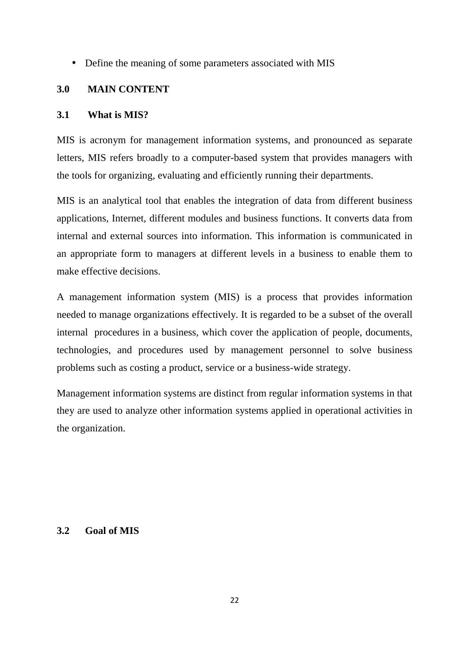• Define the meaning of some parameters associated with MIS

#### **3.0 MAIN CONTENT**

#### **3.1 What is MIS?**

MIS is acronym for management information systems, and pronounced as separate letters, MIS refers broadly to a computer-based system that provides managers with the tools for organizing, evaluating and efficiently running their departments.

MIS is an analytical tool that enables the integration of data from different business applications, Internet, different modules and business functions. It converts data from internal and external sources into information. This information is communicated in an appropriate form to managers at different levels in a business to enable them to make effective decisions.

A management information system (MIS) is a process that provides information needed to manage organizations effectively. It is regarded to be a subset of the overall internal procedures in a business, which cover the application of people, documents, technologies, and procedures used by management personnel to solve business problems such as costing a product, service or a business-wide strategy.

Management information systems are distinct from regular information systems in that they are used to analyze other information systems applied in operational activities in the organization.

#### **3.2 Goal of MIS**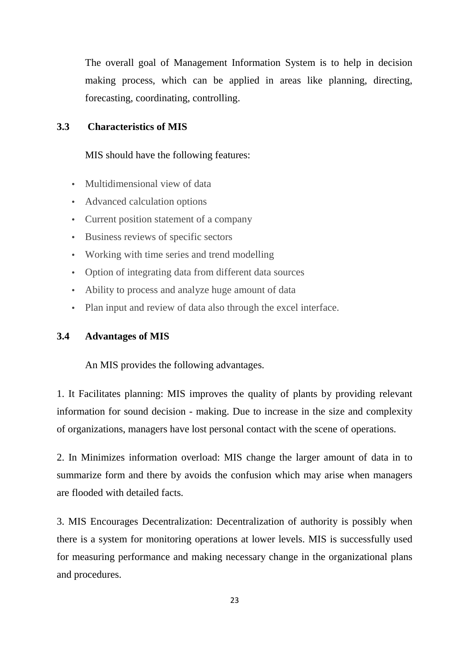The overall goal of Management Information System is to help in decision making process, which can be applied in areas like planning, directing, forecasting, coordinating, controlling.

## **3.3 Characteristics of MIS**

MIS should have the following features:

- Multidimensional view of data
- Advanced calculation options
- Current position statement of a company
- Business reviews of specific sectors
- Working with time series and trend modelling
- Option of integrating data from different data sources
- Ability to process and analyze huge amount of data
- Plan input and review of data also through the excel interface.

#### **3.4 Advantages of MIS**

An MIS provides the following advantages.

1. It Facilitates planning: MIS improves the quality of plants by providing relevant information for sound decision - making. Due to increase in the size and complexity of organizations, managers have lost personal contact with the scene of operations.

2. In Minimizes information overload: MIS change the larger amount of data in to summarize form and there by avoids the confusion which may arise when managers are flooded with detailed facts.

3. MIS Encourages Decentralization: Decentralization of authority is possibly when there is a system for monitoring operations at lower levels. MIS is successfully used for measuring performance and making necessary change in the organizational plans and procedures.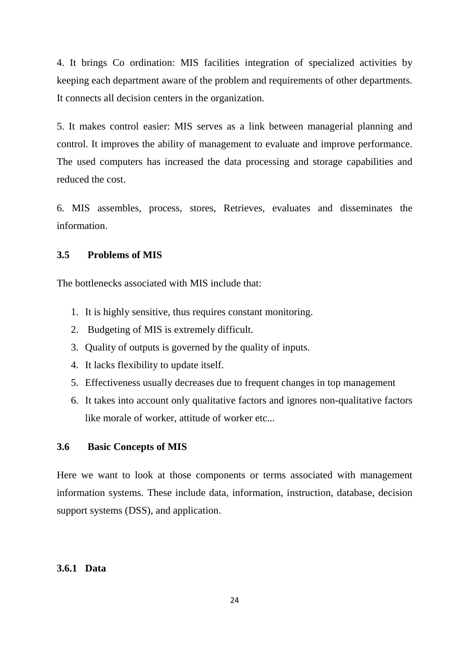4. It brings Co ordination: MIS facilities integration of specialized activities by keeping each department aware of the problem and requirements of other departments. It connects all decision centers in the organization.

5. It makes control easier: MIS serves as a link between managerial planning and control. It improves the ability of management to evaluate and improve performance. The used computers has increased the data processing and storage capabilities and reduced the cost.

6. MIS assembles, process, stores, Retrieves, evaluates and disseminates the information.

## **3.5 Problems of MIS**

The bottlenecks associated with MIS include that:

- 1. It is highly sensitive, thus requires constant monitoring.
- 2. Budgeting of MIS is extremely difficult.
- 3. Quality of outputs is governed by the quality of inputs.
- 4. It lacks flexibility to update itself.
- 5. Effectiveness usually decreases due to frequent changes in top management
- 6. It takes into account only qualitative factors and ignores non-qualitative factors like morale of worker, attitude of worker etc...

#### **3.6 Basic Concepts of MIS**

Here we want to look at those components or terms associated with management information systems. These include data, information, instruction, database, decision support systems (DSS), and application.

#### **3.6.1 Data**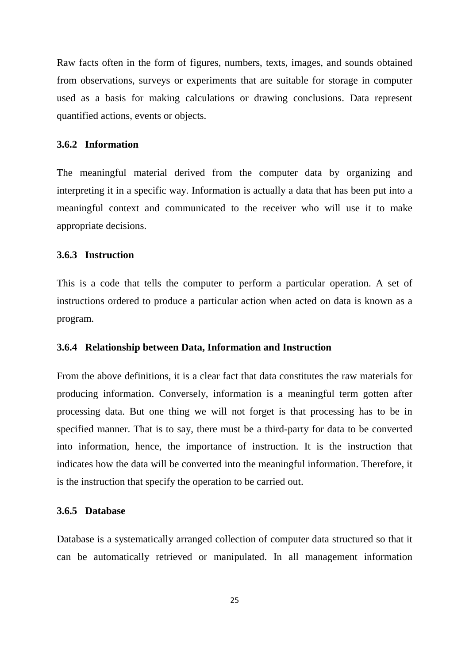Raw facts often in the form of figures, numbers, texts, images, and sounds obtained from observations, surveys or experiments that are suitable for storage in computer used as a basis for making calculations or drawing conclusions. Data represent quantified actions, events or objects.

#### **3.6.2 Information**

The meaningful material derived from the computer data by organizing and interpreting it in a specific way. Information is actually a data that has been put into a meaningful context and communicated to the receiver who will use it to make appropriate decisions.

#### **3.6.3 Instruction**

This is a code that tells the computer to perform a particular operation. A set of instructions ordered to produce a particular action when acted on data is known as a program.

#### **3.6.4 Relationship between Data, Information and Instruction**

From the above definitions, it is a clear fact that data constitutes the raw materials for producing information. Conversely, information is a meaningful term gotten after processing data. But one thing we will not forget is that processing has to be in specified manner. That is to say, there must be a third-party for data to be converted into information, hence, the importance of instruction. It is the instruction that indicates how the data will be converted into the meaningful information. Therefore, it is the instruction that specify the operation to be carried out.

#### **3.6.5 Database**

Database is a systematically arranged collection of computer data structured so that it can be automatically retrieved or manipulated. In all management information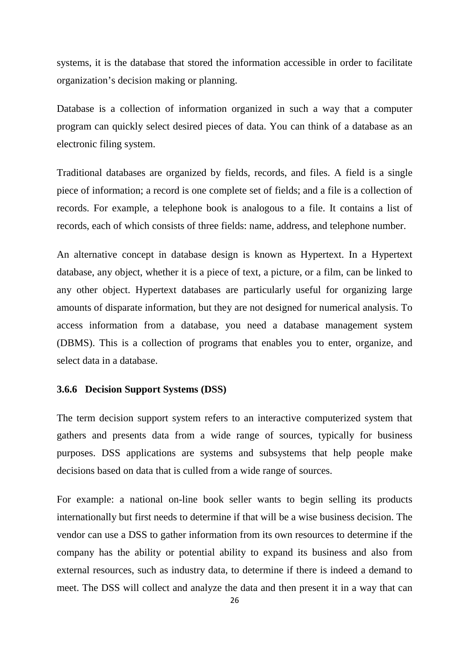systems, it is the database that stored the information accessible in order to facilitate organization's decision making or planning.

Database is a collection of information organized in such a way that a computer program can quickly select desired pieces of data. You can think of a database as an electronic filing system.

Traditional databases are organized by fields, records, and files. A field is a single piece of information; a record is one complete set of fields; and a file is a collection of records. For example, a telephone book is analogous to a file. It contains a list of records, each of which consists of three fields: name, address, and telephone number.

An alternative concept in database design is known as Hypertext. In a Hypertext database, any object, whether it is a piece of text, a picture, or a film, can be linked to any other object. Hypertext databases are particularly useful for organizing large amounts of disparate information, but they are not designed for numerical analysis. To access information from a database, you need a database management system (DBMS). This is a collection of programs that enables you to enter, organize, and select data in a database.

#### **3.6.6 Decision Support Systems (DSS)**

The term decision support system refers to an interactive computerized system that gathers and presents data from a wide range of sources, typically for business purposes. DSS applications are systems and subsystems that help people make decisions based on data that is culled from a wide range of sources.

For example: a national on-line book seller wants to begin selling its products internationally but first needs to determine if that will be a wise business decision. The vendor can use a DSS to gather information from its own resources to determine if the company has the ability or potential ability to expand its business and also from external resources, such as industry data, to determine if there is indeed a demand to meet. The DSS will collect and analyze the data and then present it in a way that can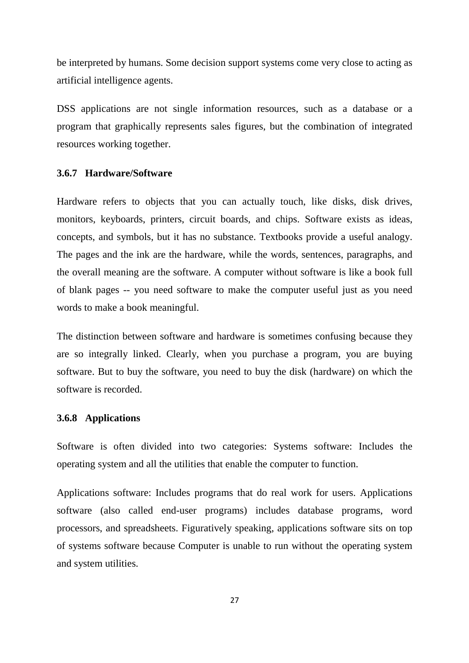be interpreted by humans. Some decision support systems come very close to acting as artificial intelligence agents.

DSS applications are not single information resources, such as a database or a program that graphically represents sales figures, but the combination of integrated resources working together.

#### **3.6.7 Hardware/Software**

Hardware refers to objects that you can actually touch, like disks, disk drives, monitors, keyboards, printers, circuit boards, and chips. Software exists as ideas, concepts, and symbols, but it has no substance. Textbooks provide a useful analogy. The pages and the ink are the hardware, while the words, sentences, paragraphs, and the overall meaning are the software. A computer without software is like a book full of blank pages -- you need software to make the computer useful just as you need words to make a book meaningful.

The distinction between software and hardware is sometimes confusing because they are so integrally linked. Clearly, when you purchase a program, you are buying software. But to buy the software, you need to buy the disk (hardware) on which the software is recorded.

#### **3.6.8 Applications**

Software is often divided into two categories: Systems software: Includes the operating system and all the utilities that enable the computer to function.

Applications software: Includes programs that do real work for users. Applications software (also called end-user programs) includes database programs, word processors, and spreadsheets. Figuratively speaking, applications software sits on top of systems software because Computer is unable to run without the operating system and system utilities.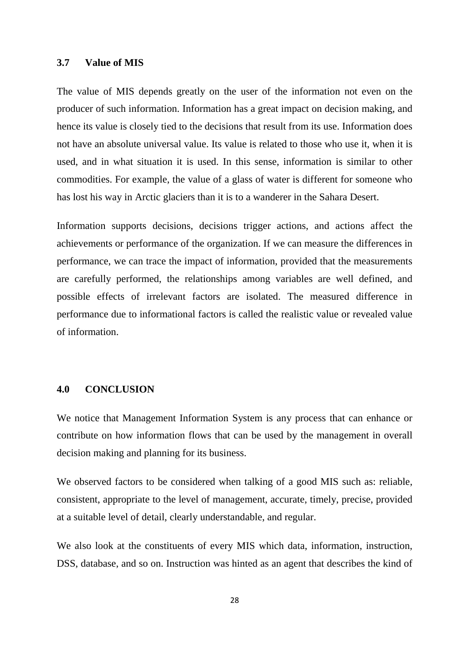#### **3.7 Value of MIS**

The value of MIS depends greatly on the user of the information not even on the producer of such information. Information has a great impact on decision making, and hence its value is closely tied to the decisions that result from its use. Information does not have an absolute universal value. Its value is related to those who use it, when it is used, and in what situation it is used. In this sense, information is similar to other commodities. For example, the value of a glass of water is different for someone who has lost his way in Arctic glaciers than it is to a wanderer in the Sahara Desert.

Information supports decisions, decisions trigger actions, and actions affect the achievements or performance of the organization. If we can measure the differences in performance, we can trace the impact of information, provided that the measurements are carefully performed, the relationships among variables are well defined, and possible effects of irrelevant factors are isolated. The measured difference in performance due to informational factors is called the realistic value or revealed value of information.

#### **4.0 CONCLUSION**

We notice that Management Information System is any process that can enhance or contribute on how information flows that can be used by the management in overall decision making and planning for its business.

We observed factors to be considered when talking of a good MIS such as: reliable, consistent, appropriate to the level of management, accurate, timely, precise, provided at a suitable level of detail, clearly understandable, and regular.

We also look at the constituents of every MIS which data, information, instruction, DSS, database, and so on. Instruction was hinted as an agent that describes the kind of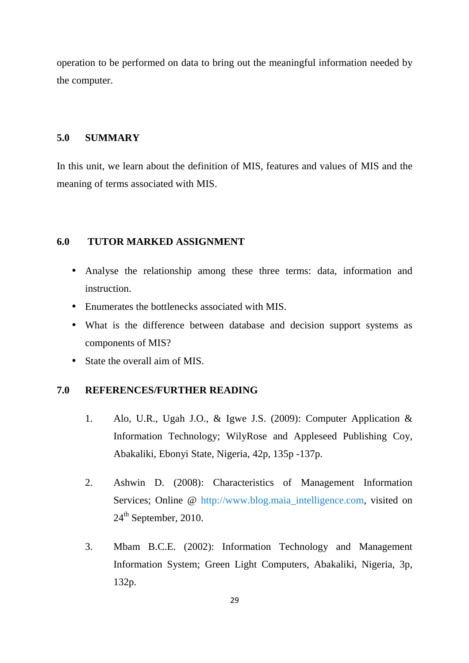operation to be performed on data to bring out the meaningful information needed by the computer.

## **5.0 SUMMARY**

In this unit, we learn about the definition of MIS, features and values of MIS and the meaning of terms associated with MIS.

#### **6.0 TUTOR MARKED ASSIGNMENT**

- Analyse the relationship among these three terms: data, information and instruction.
- Enumerates the bottlenecks associated with MIS.
- What is the difference between database and decision support systems as components of MIS?
- State the overall aim of MIS.

#### **7.0 REFERENCES/FURTHER READING**

- 1. Alo, U.R., Ugah J.O., & Igwe J.S. (2009): Computer Application & Information Technology; WilyRose and Appleseed Publishing Coy, Abakaliki, Ebonyi State, Nigeria, 42p, 135p -137p.
- 2. Ashwin D. (2008): Characteristics of Management Information Services; Online @ http://www.blog.maia\_intelligence.com, visited on 24<sup>th</sup> September, 2010.
- 3. Mbam B.C.E. (2002): Information Technology and Management Information System; Green Light Computers, Abakaliki, Nigeria, 3p, 132p.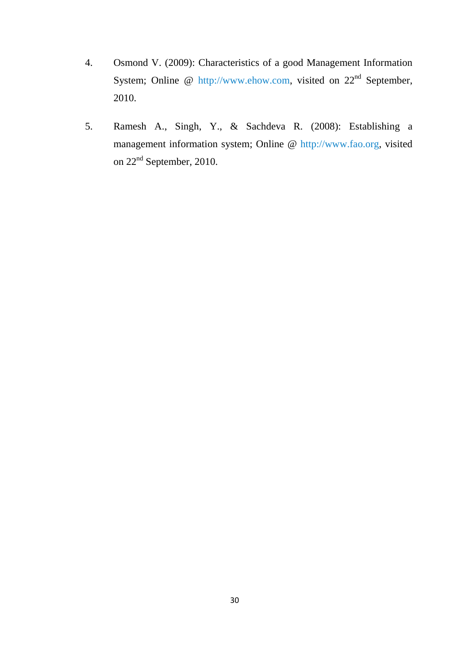- 4. Osmond V. (2009): Characteristics of a good Management Information System; Online @ http://www.ehow.com, visited on 22<sup>nd</sup> September, 2010.
- 5. Ramesh A., Singh, Y., & Sachdeva R. (2008): Establishing a management information system; Online @ http://www.fao.org, visited on 22<sup>nd</sup> September, 2010.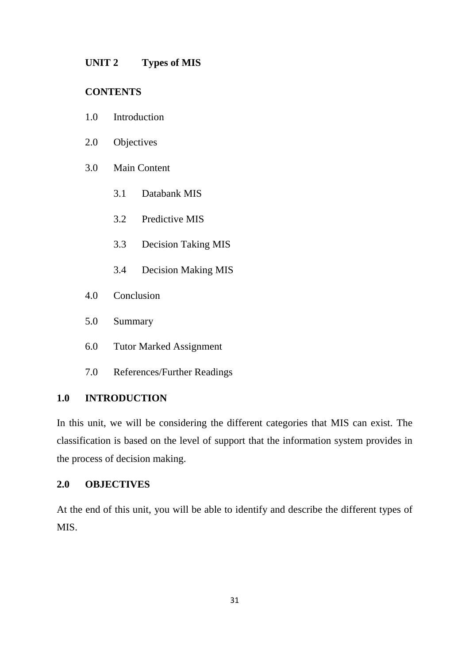#### **UNIT 2 Types of MIS**

#### **CONTENTS**

- 1.0 Introduction
- 2.0 Objectives
- 3.0 Main Content
	- 3.1 Databank MIS
	- 3.2 Predictive MIS
	- 3.3 Decision Taking MIS
	- 3.4 Decision Making MIS
- 4.0 Conclusion
- 5.0 Summary
- 6.0 Tutor Marked Assignment
- 7.0 References/Further Readings

#### **1.0 INTRODUCTION**

In this unit, we will be considering the different categories that MIS can exist. The classification is based on the level of support that the information system provides in the process of decision making.

## **2.0 OBJECTIVES**

At the end of this unit, you will be able to identify and describe the different types of MIS.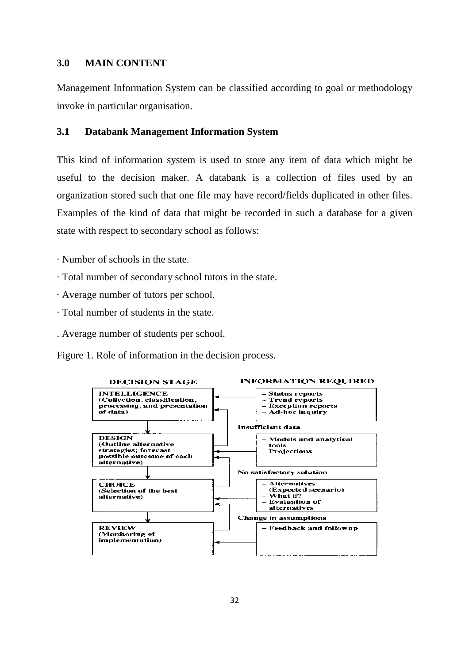#### **3.0 MAIN CONTENT**

Management Information System can be classified according to goal or methodology invoke in particular organisation.

#### **3.1 Databank Management Information System**

This kind of information system is used to store any item of data which might be useful to the decision maker. A databank is a collection of files used by an organization stored such that one file may have record/fields duplicated in other files. Examples of the kind of data that might be recorded in such a database for a given state with respect to secondary school as follows:

- · Number of schools in the state.
- · Total number of secondary school tutors in the state.
- · Average number of tutors per school.
- · Total number of students in the state.
- . Average number of students per school.

Figure 1. Role of information in the decision process.

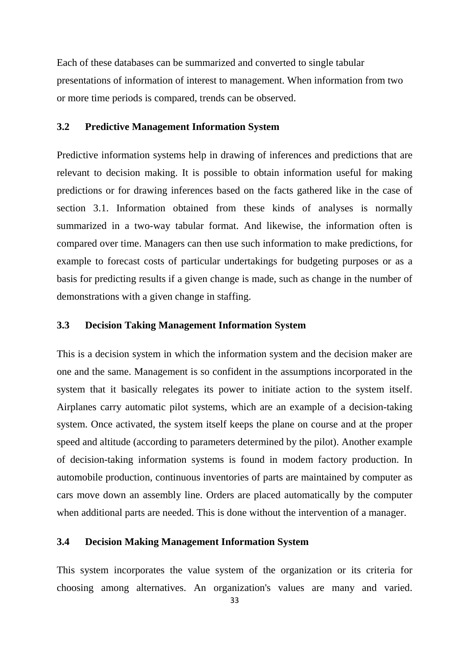Each of these databases can be summarized and converted to single tabular presentations of information of interest to management. When information from two or more time periods is compared, trends can be observed.

#### **3.2 Predictive Management Information System**

Predictive information systems help in drawing of inferences and predictions that are relevant to decision making. It is possible to obtain information useful for making predictions or for drawing inferences based on the facts gathered like in the case of section 3.1. Information obtained from these kinds of analyses is normally summarized in a two-way tabular format. And likewise, the information often is compared over time. Managers can then use such information to make predictions, for example to forecast costs of particular undertakings for budgeting purposes or as a basis for predicting results if a given change is made, such as change in the number of demonstrations with a given change in staffing.

#### **3.3 Decision Taking Management Information System**

This is a decision system in which the information system and the decision maker are one and the same. Management is so confident in the assumptions incorporated in the system that it basically relegates its power to initiate action to the system itself. Airplanes carry automatic pilot systems, which are an example of a decision-taking system. Once activated, the system itself keeps the plane on course and at the proper speed and altitude (according to parameters determined by the pilot). Another example of decision-taking information systems is found in modem factory production. In automobile production, continuous inventories of parts are maintained by computer as cars move down an assembly line. Orders are placed automatically by the computer when additional parts are needed. This is done without the intervention of a manager.

#### **3.4 Decision Making Management Information System**

This system incorporates the value system of the organization or its criteria for choosing among alternatives. An organization's values are many and varied.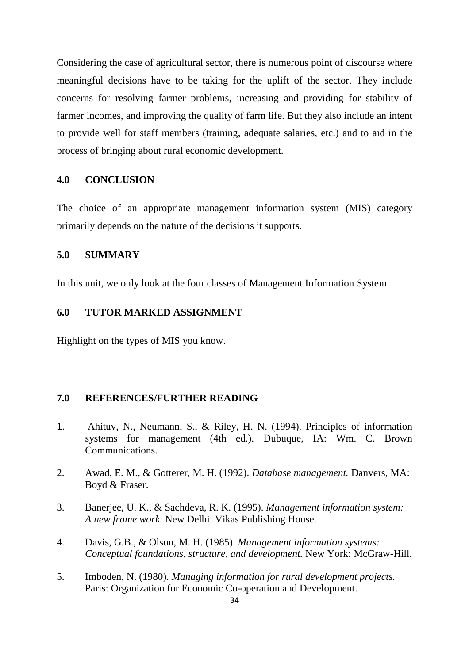Considering the case of agricultural sector, there is numerous point of discourse where meaningful decisions have to be taking for the uplift of the sector. They include concerns for resolving farmer problems, increasing and providing for stability of farmer incomes, and improving the quality of farm life. But they also include an intent to provide well for staff members (training, adequate salaries, etc.) and to aid in the process of bringing about rural economic development.

#### **4.0 CONCLUSION**

The choice of an appropriate management information system (MIS) category primarily depends on the nature of the decisions it supports.

#### **5.0 SUMMARY**

In this unit, we only look at the four classes of Management Information System.

#### **6.0 TUTOR MARKED ASSIGNMENT**

Highlight on the types of MIS you know.

#### **7.0 REFERENCES/FURTHER READING**

- 1. Ahituv, N., Neumann, S., & Riley, H. N. (1994). Principles of information systems for management (4th ed.). Dubuque, IA: Wm. C. Brown Communications.
- 2. Awad, E. M., & Gotterer, M. H. (1992). *Database management.* Danvers, MA: Boyd & Fraser.
- 3. Banerjee, U. K., & Sachdeva, R. K. (1995). *Management information system: A new frame work.* New Delhi: Vikas Publishing House.
- 4. Davis, G.B., & Olson, M. H. (1985). *Management information systems: Conceptual foundations, structure, and development.* New York: McGraw-Hill.
- 5. Imboden, N. (1980). *Managing information for rural development projects.* Paris: Organization for Economic Co-operation and Development.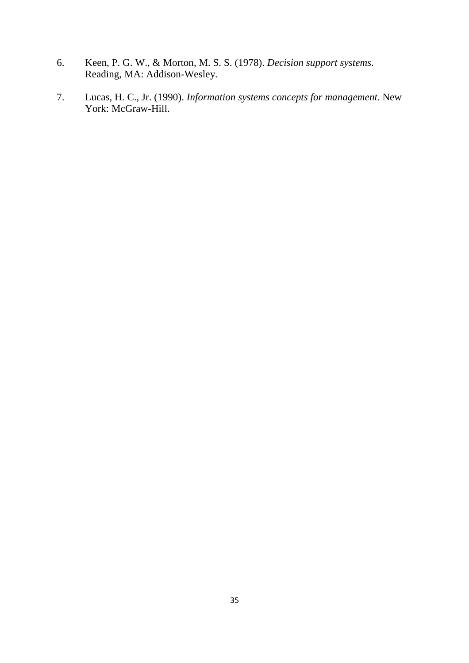- 6. Keen, P. G. W., & Morton, M. S. S. (1978). *Decision support systems.* Reading, MA: Addison-Wesley.
- 7. Lucas, H. C., Jr. (1990). *Information systems concepts for management.* New York: McGraw-Hill.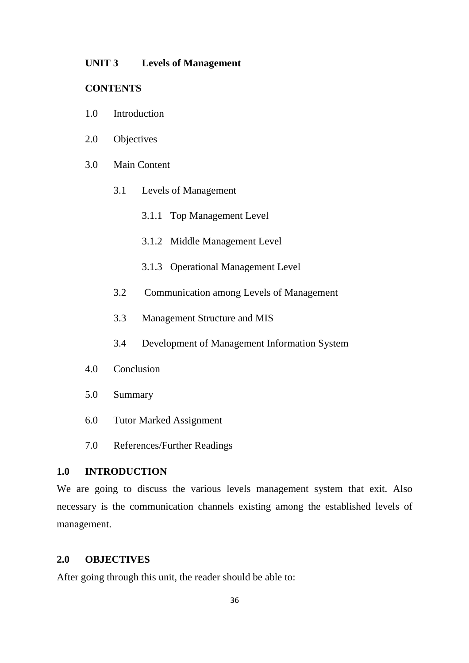#### **UNIT 3 Levels of Management**

#### **CONTENTS**

- 1.0 Introduction
- 2.0 Objectives
- 3.0 Main Content
	- 3.1 Levels of Management
		- 3.1.1 Top Management Level
		- 3.1.2 Middle Management Level
		- 3.1.3 Operational Management Level
	- 3.2 Communication among Levels of Management
	- 3.3 Management Structure and MIS
	- 3.4 Development of Management Information System
- 4.0 Conclusion
- 5.0 Summary
- 6.0 Tutor Marked Assignment
- 7.0 References/Further Readings

#### **1.0 INTRODUCTION**

We are going to discuss the various levels management system that exit. Also necessary is the communication channels existing among the established levels of management.

#### **2.0 OBJECTIVES**

After going through this unit, the reader should be able to: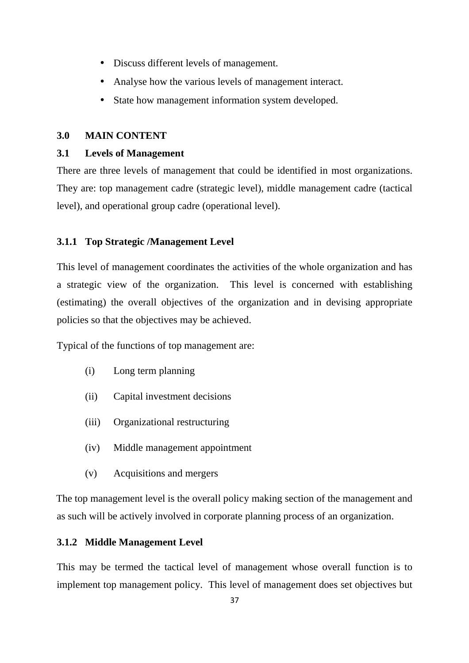- Discuss different levels of management.
- Analyse how the various levels of management interact.
- State how management information system developed.

## **3.0 MAIN CONTENT**

# **3.1 Levels of Management**

There are three levels of management that could be identified in most organizations. They are: top management cadre (strategic level), middle management cadre (tactical level), and operational group cadre (operational level).

# **3.1.1 Top Strategic /Management Level**

This level of management coordinates the activities of the whole organization and has a strategic view of the organization. This level is concerned with establishing (estimating) the overall objectives of the organization and in devising appropriate policies so that the objectives may be achieved.

Typical of the functions of top management are:

- (i) Long term planning
- (ii) Capital investment decisions
- (iii) Organizational restructuring
- (iv) Middle management appointment
- (v) Acquisitions and mergers

The top management level is the overall policy making section of the management and as such will be actively involved in corporate planning process of an organization.

## **3.1.2 Middle Management Level**

This may be termed the tactical level of management whose overall function is to implement top management policy. This level of management does set objectives but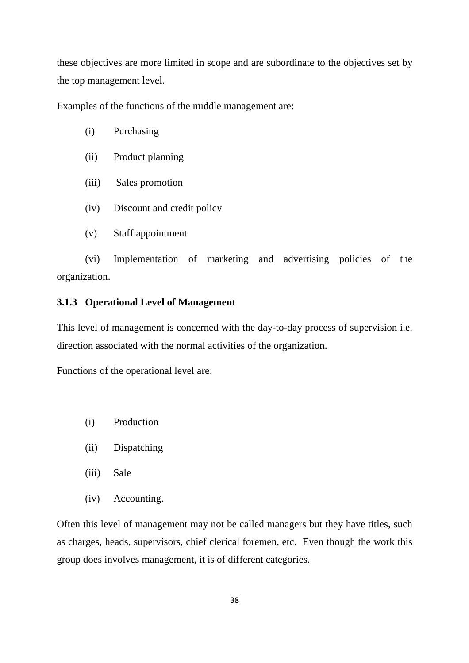these objectives are more limited in scope and are subordinate to the objectives set by the top management level.

Examples of the functions of the middle management are:

- (i) Purchasing
- (ii) Product planning
- (iii) Sales promotion
- (iv) Discount and credit policy
- (v) Staff appointment

(vi) Implementation of marketing and advertising policies of the organization.

## **3.1.3 Operational Level of Management**

This level of management is concerned with the day-to-day process of supervision i.e. direction associated with the normal activities of the organization.

Functions of the operational level are:

- (i) Production
- (ii) Dispatching
- (iii) Sale
- (iv) Accounting.

Often this level of management may not be called managers but they have titles, such as charges, heads, supervisors, chief clerical foremen, etc. Even though the work this group does involves management, it is of different categories.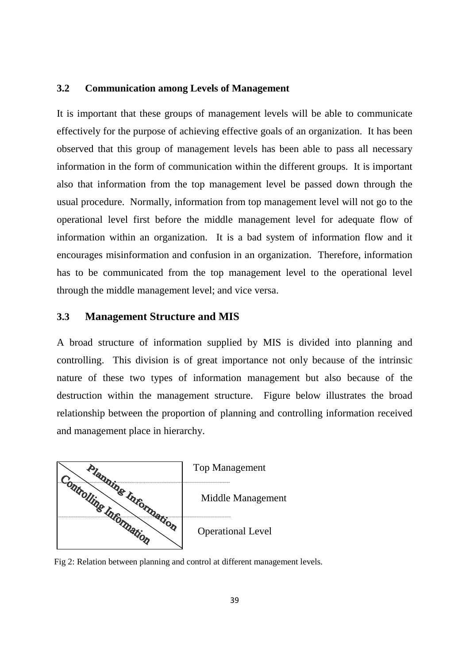#### **3.2 Communication among Levels of Management**

It is important that these groups of management levels will be able to communicate effectively for the purpose of achieving effective goals of an organization. It has been observed that this group of management levels has been able to pass all necessary information in the form of communication within the different groups. It is important also that information from the top management level be passed down through the usual procedure. Normally, information from top management level will not go to the operational level first before the middle management level for adequate flow of information within an organization. It is a bad system of information flow and it encourages misinformation and confusion in an organization. Therefore, information has to be communicated from the top management level to the operational level through the middle management level; and vice versa.

#### **3.3 Management Structure and MIS**

A broad structure of information supplied by MIS is divided into planning and controlling. This division is of great importance not only because of the intrinsic nature of these two types of information management but also because of the destruction within the management structure. Figure below illustrates the broad relationship between the proportion of planning and controlling information received and management place in hierarchy.



Fig 2: Relation between planning and control at different management levels.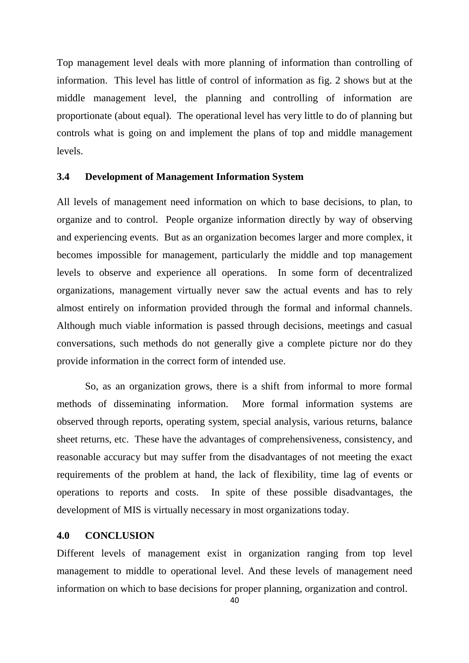Top management level deals with more planning of information than controlling of information. This level has little of control of information as fig. 2 shows but at the middle management level, the planning and controlling of information are proportionate (about equal). The operational level has very little to do of planning but controls what is going on and implement the plans of top and middle management levels.

## **3.4 Development of Management Information System**

All levels of management need information on which to base decisions, to plan, to organize and to control. People organize information directly by way of observing and experiencing events. But as an organization becomes larger and more complex, it becomes impossible for management, particularly the middle and top management levels to observe and experience all operations. In some form of decentralized organizations, management virtually never saw the actual events and has to rely almost entirely on information provided through the formal and informal channels. Although much viable information is passed through decisions, meetings and casual conversations, such methods do not generally give a complete picture nor do they provide information in the correct form of intended use.

 So, as an organization grows, there is a shift from informal to more formal methods of disseminating information. More formal information systems are observed through reports, operating system, special analysis, various returns, balance sheet returns, etc. These have the advantages of comprehensiveness, consistency, and reasonable accuracy but may suffer from the disadvantages of not meeting the exact requirements of the problem at hand, the lack of flexibility, time lag of events or operations to reports and costs. In spite of these possible disadvantages, the development of MIS is virtually necessary in most organizations today.

#### **4.0 CONCLUSION**

Different levels of management exist in organization ranging from top level management to middle to operational level. And these levels of management need information on which to base decisions for proper planning, organization and control.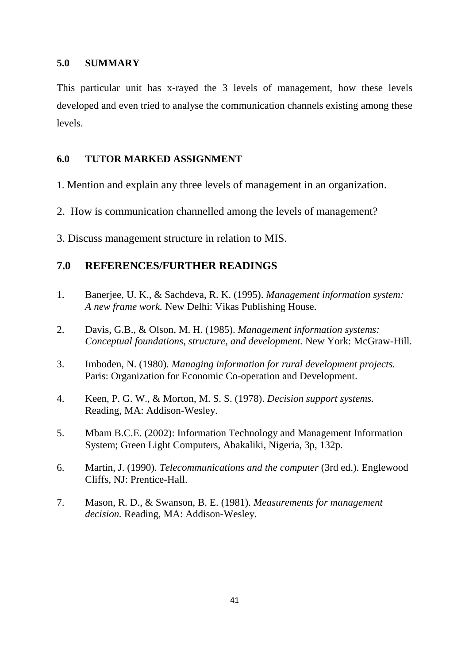## **5.0 SUMMARY**

This particular unit has x-rayed the 3 levels of management, how these levels developed and even tried to analyse the communication channels existing among these levels.

## **6.0 TUTOR MARKED ASSIGNMENT**

- 1. Mention and explain any three levels of management in an organization.
- 2. How is communication channelled among the levels of management?
- 3. Discuss management structure in relation to MIS.

# **7.0 REFERENCES/FURTHER READINGS**

- 1. Banerjee, U. K., & Sachdeva, R. K. (1995). *Management information system: A new frame work.* New Delhi: Vikas Publishing House.
- 2. Davis, G.B., & Olson, M. H. (1985). *Management information systems: Conceptual foundations, structure, and development.* New York: McGraw-Hill.
- 3. Imboden, N. (1980). *Managing information for rural development projects.* Paris: Organization for Economic Co-operation and Development.
- 4. Keen, P. G. W., & Morton, M. S. S. (1978). *Decision support systems.* Reading, MA: Addison-Wesley.
- 5. Mbam B.C.E. (2002): Information Technology and Management Information System; Green Light Computers, Abakaliki, Nigeria, 3p, 132p.
- 6. Martin, J. (1990). *Telecommunications and the computer* (3rd ed.). Englewood Cliffs, NJ: Prentice-Hall.
- 7. Mason, R. D., & Swanson, B. E. (1981). *Measurements for management decision.* Reading, MA: Addison-Wesley.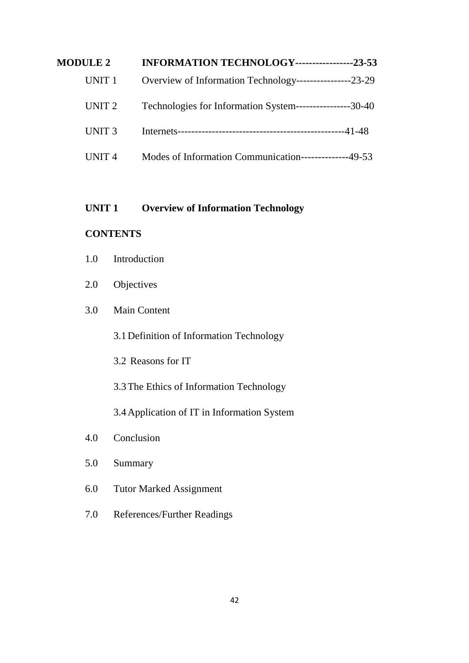| <b>MODULE 2</b>   | INFORMATION TECHNOLOGY-----------------23-53              |
|-------------------|-----------------------------------------------------------|
| UNIT 1            | Overview of Information Technology-----------------23-29  |
| UNIT <sub>2</sub> | Technologies for Information System-----------------30-40 |
| UNIT <sub>3</sub> |                                                           |
| UNIT <sub>4</sub> | Modes of Information Communication--------------49-53     |

# **UNIT 1 Overview of Information Technology**

# **CONTENTS**

- 1.0 Introduction
- 2.0 Objectives

# 3.0 Main Content

3.1Definition of Information Technology

3.2 Reasons for IT

3.3The Ethics of Information Technology

3.4Application of IT in Information System

- 4.0 Conclusion
- 5.0 Summary
- 6.0 Tutor Marked Assignment
- 7.0 References/Further Readings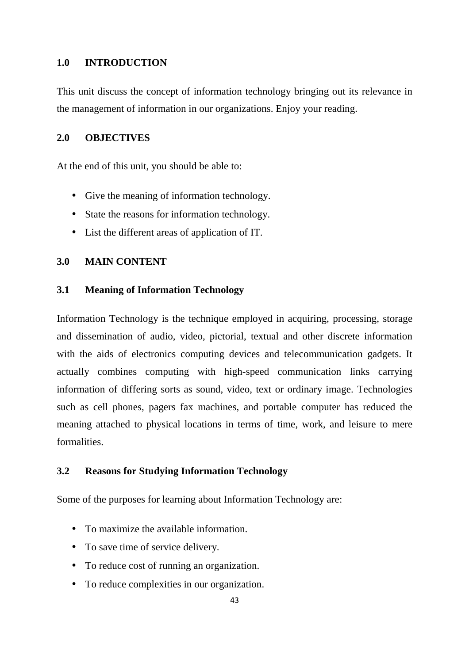## **1.0 INTRODUCTION**

This unit discuss the concept of information technology bringing out its relevance in the management of information in our organizations. Enjoy your reading.

## **2.0 OBJECTIVES**

At the end of this unit, you should be able to:

- Give the meaning of information technology.
- State the reasons for information technology.
- List the different areas of application of IT.

## **3.0 MAIN CONTENT**

## **3.1 Meaning of Information Technology**

Information Technology is the technique employed in acquiring, processing, storage and dissemination of audio, video, pictorial, textual and other discrete information with the aids of electronics computing devices and telecommunication gadgets. It actually combines computing with high-speed communication links carrying information of differing sorts as sound, video, text or ordinary image. Technologies such as cell phones, pagers fax machines, and portable computer has reduced the meaning attached to physical locations in terms of time, work, and leisure to mere formalities.

## **3.2 Reasons for Studying Information Technology**

Some of the purposes for learning about Information Technology are:

- To maximize the available information.
- To save time of service delivery.
- To reduce cost of running an organization.
- To reduce complexities in our organization.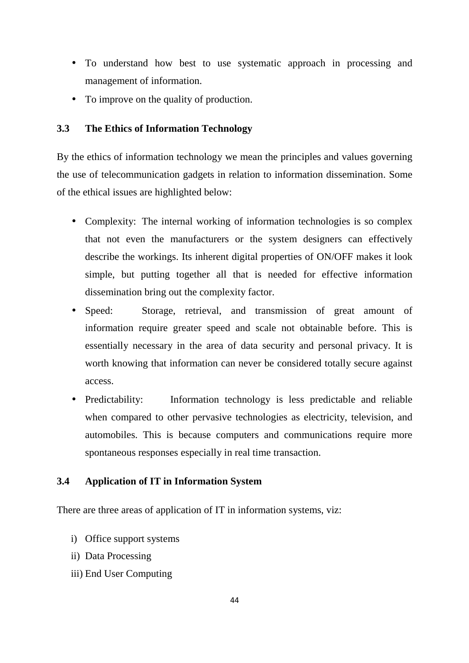- To understand how best to use systematic approach in processing and management of information.
- To improve on the quality of production.

# **3.3 The Ethics of Information Technology**

By the ethics of information technology we mean the principles and values governing the use of telecommunication gadgets in relation to information dissemination. Some of the ethical issues are highlighted below:

- Complexity: The internal working of information technologies is so complex that not even the manufacturers or the system designers can effectively describe the workings. Its inherent digital properties of ON/OFF makes it look simple, but putting together all that is needed for effective information dissemination bring out the complexity factor.
- Speed: Storage, retrieval, and transmission of great amount of information require greater speed and scale not obtainable before. This is essentially necessary in the area of data security and personal privacy. It is worth knowing that information can never be considered totally secure against access.
- Predictability: Information technology is less predictable and reliable when compared to other pervasive technologies as electricity, television, and automobiles. This is because computers and communications require more spontaneous responses especially in real time transaction.

# **3.4 Application of IT in Information System**

There are three areas of application of IT in information systems, viz:

- i) Office support systems
- ii) Data Processing
- iii) End User Computing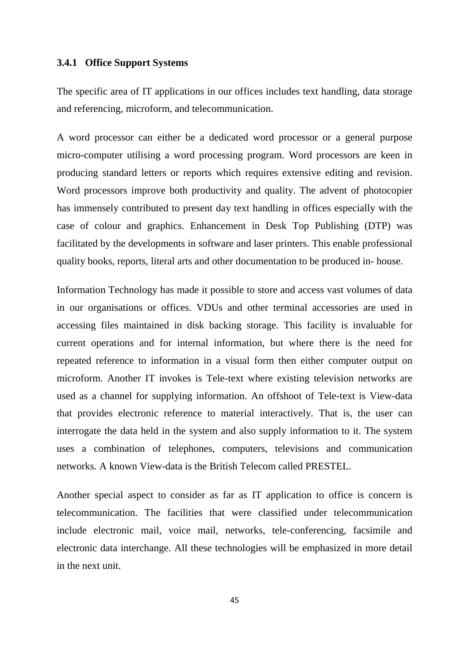## **3.4.1 Office Support Systems**

The specific area of IT applications in our offices includes text handling, data storage and referencing, microform, and telecommunication.

A word processor can either be a dedicated word processor or a general purpose micro-computer utilising a word processing program. Word processors are keen in producing standard letters or reports which requires extensive editing and revision. Word processors improve both productivity and quality. The advent of photocopier has immensely contributed to present day text handling in offices especially with the case of colour and graphics. Enhancement in Desk Top Publishing (DTP) was facilitated by the developments in software and laser printers. This enable professional quality books, reports, literal arts and other documentation to be produced in- house.

Information Technology has made it possible to store and access vast volumes of data in our organisations or offices. VDUs and other terminal accessories are used in accessing files maintained in disk backing storage. This facility is invaluable for current operations and for internal information, but where there is the need for repeated reference to information in a visual form then either computer output on microform. Another IT invokes is Tele-text where existing television networks are used as a channel for supplying information. An offshoot of Tele-text is View-data that provides electronic reference to material interactively. That is, the user can interrogate the data held in the system and also supply information to it. The system uses a combination of telephones, computers, televisions and communication networks. A known View-data is the British Telecom called PRESTEL.

Another special aspect to consider as far as IT application to office is concern is telecommunication. The facilities that were classified under telecommunication include electronic mail, voice mail, networks, tele-conferencing, facsimile and electronic data interchange. All these technologies will be emphasized in more detail in the next unit.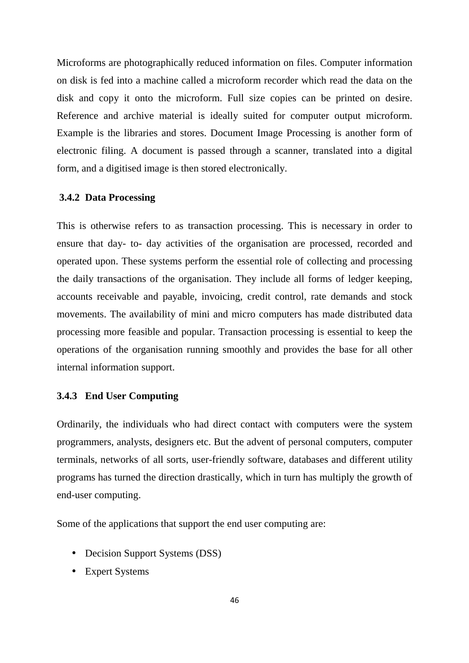Microforms are photographically reduced information on files. Computer information on disk is fed into a machine called a microform recorder which read the data on the disk and copy it onto the microform. Full size copies can be printed on desire. Reference and archive material is ideally suited for computer output microform. Example is the libraries and stores. Document Image Processing is another form of electronic filing. A document is passed through a scanner, translated into a digital form, and a digitised image is then stored electronically.

#### **3.4.2 Data Processing**

This is otherwise refers to as transaction processing. This is necessary in order to ensure that day- to- day activities of the organisation are processed, recorded and operated upon. These systems perform the essential role of collecting and processing the daily transactions of the organisation. They include all forms of ledger keeping, accounts receivable and payable, invoicing, credit control, rate demands and stock movements. The availability of mini and micro computers has made distributed data processing more feasible and popular. Transaction processing is essential to keep the operations of the organisation running smoothly and provides the base for all other internal information support.

#### **3.4.3 End User Computing**

Ordinarily, the individuals who had direct contact with computers were the system programmers, analysts, designers etc. But the advent of personal computers, computer terminals, networks of all sorts, user-friendly software, databases and different utility programs has turned the direction drastically, which in turn has multiply the growth of end-user computing.

Some of the applications that support the end user computing are:

- Decision Support Systems (DSS)
- Expert Systems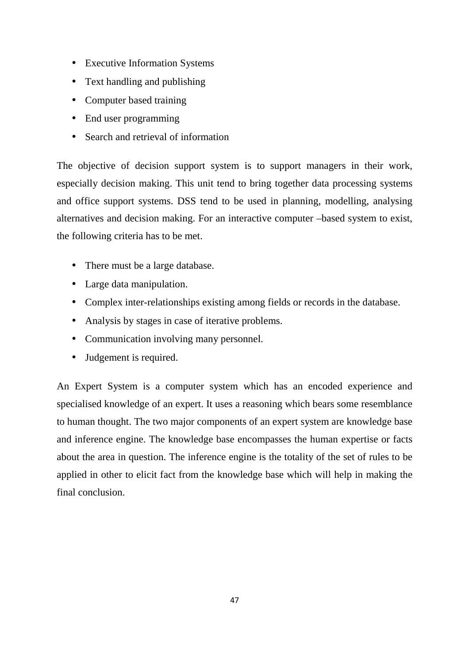- Executive Information Systems
- Text handling and publishing
- Computer based training
- End user programming
- Search and retrieval of information

The objective of decision support system is to support managers in their work, especially decision making. This unit tend to bring together data processing systems and office support systems. DSS tend to be used in planning, modelling, analysing alternatives and decision making. For an interactive computer –based system to exist, the following criteria has to be met.

- There must be a large database.
- Large data manipulation.
- Complex inter-relationships existing among fields or records in the database.
- Analysis by stages in case of iterative problems.
- Communication involving many personnel.
- Judgement is required.

An Expert System is a computer system which has an encoded experience and specialised knowledge of an expert. It uses a reasoning which bears some resemblance to human thought. The two major components of an expert system are knowledge base and inference engine. The knowledge base encompasses the human expertise or facts about the area in question. The inference engine is the totality of the set of rules to be applied in other to elicit fact from the knowledge base which will help in making the final conclusion.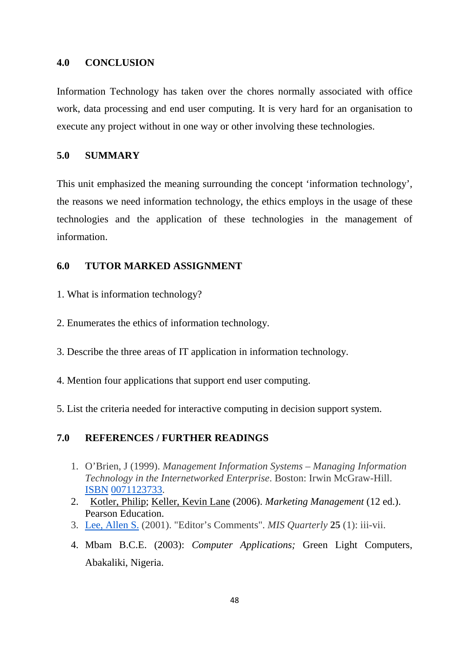#### **4.0 CONCLUSION**

Information Technology has taken over the chores normally associated with office work, data processing and end user computing. It is very hard for an organisation to execute any project without in one way or other involving these technologies.

## **5.0 SUMMARY**

This unit emphasized the meaning surrounding the concept 'information technology', the reasons we need information technology, the ethics employs in the usage of these technologies and the application of these technologies in the management of information.

# **6.0 TUTOR MARKED ASSIGNMENT**

- 1. What is information technology?
- 2. Enumerates the ethics of information technology.
- 3. Describe the three areas of IT application in information technology.
- 4. Mention four applications that support end user computing.
- 5. List the criteria needed for interactive computing in decision support system.

# **7.0 REFERENCES / FURTHER READINGS**

- 1. O'Brien, J (1999). *Management Information Systems Managing Information Technology in the Internetworked Enterprise*. Boston: Irwin McGraw-Hill. ISBN 0071123733.
- 2. Kotler, Philip; Keller, Kevin Lane (2006). *Marketing Management* (12 ed.). Pearson Education.
- 3. Lee, Allen S. (2001). "Editor's Comments". *MIS Quarterly* **25** (1): iii-vii.
- 4. Mbam B.C.E. (2003): *Computer Applications;* Green Light Computers, Abakaliki, Nigeria.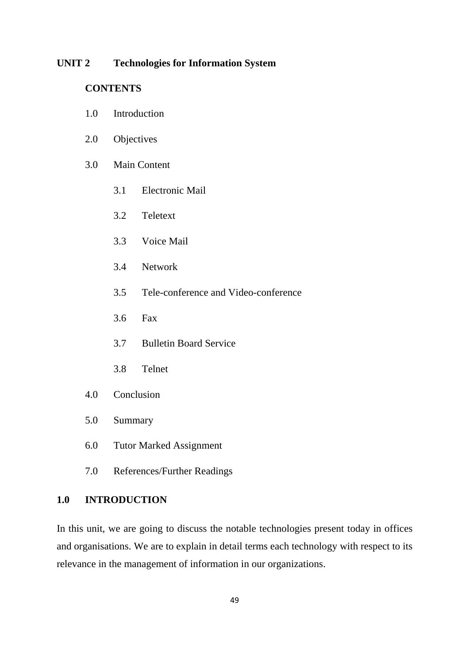#### **UNIT 2 Technologies for Information System**

## **CONTENTS**

- 1.0 Introduction
- 2.0 Objectives
- 3.0 Main Content
	- 3.1 Electronic Mail
	- 3.2 Teletext
	- 3.3 Voice Mail
	- 3.4 Network
	- 3.5 Tele-conference and Video-conference
	- 3.6 Fax
	- 3.7 Bulletin Board Service
	- 3.8 Telnet
- 4.0 Conclusion
- 5.0 Summary
- 6.0 Tutor Marked Assignment
- 7.0 References/Further Readings

## **1.0 INTRODUCTION**

In this unit, we are going to discuss the notable technologies present today in offices and organisations. We are to explain in detail terms each technology with respect to its relevance in the management of information in our organizations.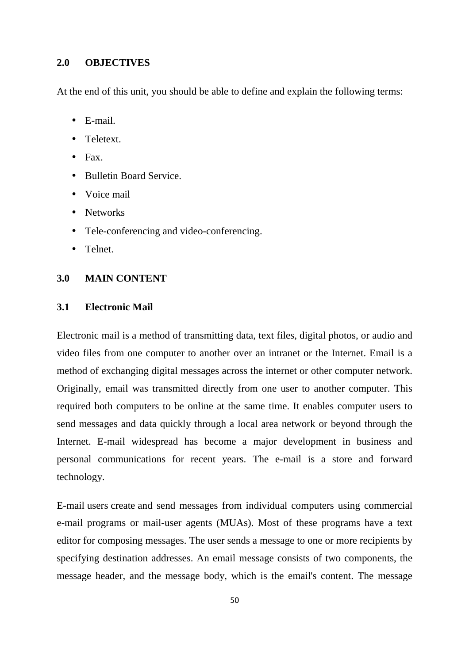## **2.0 OBJECTIVES**

At the end of this unit, you should be able to define and explain the following terms:

- E-mail.
- Teletext.
- $\bullet$  Fax.
- Bulletin Board Service.
- Voice mail
- Networks
- Tele-conferencing and video-conferencing.
- Telnet.

## **3.0 MAIN CONTENT**

# **3.1 Electronic Mail**

Electronic mail is a method of transmitting data, text files, digital photos, or audio and video files from one computer to another over an intranet or the Internet. Email is a method of exchanging digital messages across the internet or other computer network. Originally, email was transmitted directly from one user to another computer. This required both computers to be online at the same time. It enables computer users to send messages and data quickly through a local area network or beyond through the Internet. E-mail widespread has become a major development in business and personal communications for recent years. The e-mail is a store and forward technology.

E-mail users create and send messages from individual computers using commercial e-mail programs or mail-user agents (MUAs). Most of these programs have a text editor for composing messages. The user sends a message to one or more recipients by specifying destination addresses. An email message consists of two components, the message header, and the message body, which is the email's content. The message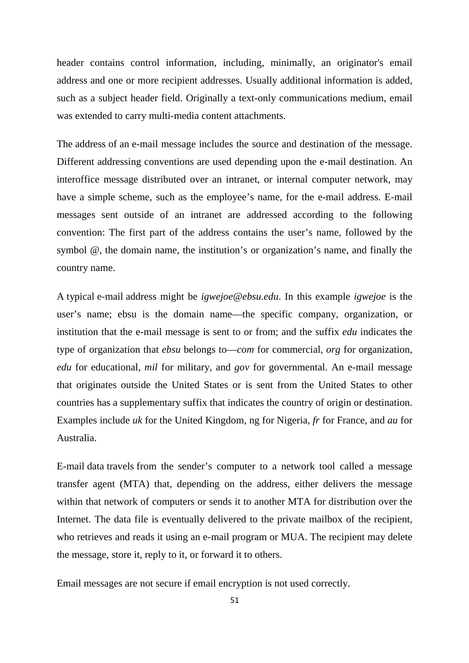header contains control information, including, minimally, an originator's email address and one or more recipient addresses. Usually additional information is added, such as a subject header field. Originally a text-only communications medium, email was extended to carry multi-media content attachments.

The address of an e-mail message includes the source and destination of the message. Different addressing conventions are used depending upon the e-mail destination. An interoffice message distributed over an intranet, or internal computer network, may have a simple scheme, such as the employee's name, for the e-mail address. E-mail messages sent outside of an intranet are addressed according to the following convention: The first part of the address contains the user's name, followed by the symbol @, the domain name, the institution's or organization's name, and finally the country name.

A typical e-mail address might be *igwejoe@ebsu.edu*. In this example *igwejoe* is the user's name; ebsu is the domain name—the specific company, organization, or institution that the e-mail message is sent to or from; and the suffix *edu* indicates the type of organization that *ebsu* belongs to—*com* for commercial, *org* for organization, *edu* for educational, *mil* for military, and *gov* for governmental. An e-mail message that originates outside the United States or is sent from the United States to other countries has a supplementary suffix that indicates the country of origin or destination. Examples include *uk* for the United Kingdom, ng for Nigeria, *fr* for France, and *au* for Australia.

E-mail data travels from the sender's computer to a network tool called a message transfer agent (MTA) that, depending on the address, either delivers the message within that network of computers or sends it to another MTA for distribution over the Internet. The data file is eventually delivered to the private mailbox of the recipient, who retrieves and reads it using an e-mail program or MUA. The recipient may delete the message, store it, reply to it, or forward it to others.

Email messages are not secure if email encryption is not used correctly.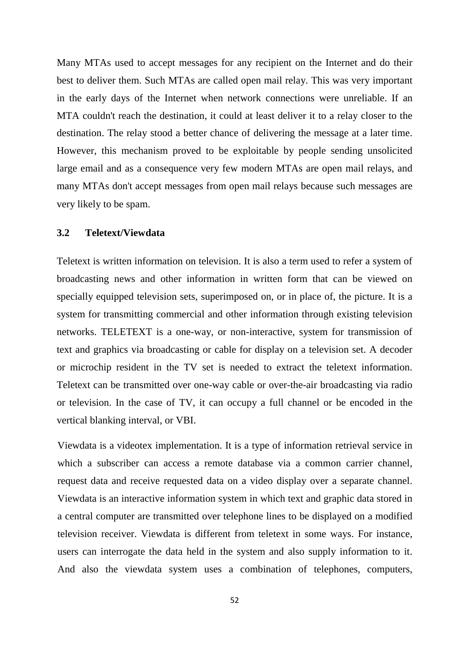Many MTAs used to accept messages for any recipient on the Internet and do their best to deliver them. Such MTAs are called open mail relay. This was very important in the early days of the Internet when network connections were unreliable. If an MTA couldn't reach the destination, it could at least deliver it to a relay closer to the destination. The relay stood a better chance of delivering the message at a later time. However, this mechanism proved to be exploitable by people sending unsolicited large email and as a consequence very few modern MTAs are open mail relays, and many MTAs don't accept messages from open mail relays because such messages are very likely to be spam.

## **3.2 Teletext/Viewdata**

Teletext is written information on television. It is also a term used to refer a system of broadcasting news and other information in written form that can be viewed on specially equipped television sets, superimposed on, or in place of, the picture. It is a system for transmitting commercial and other information through existing television networks. TELETEXT is a one-way, or non-interactive, system for transmission of text and graphics via broadcasting or cable for display on a television set. A decoder or microchip resident in the TV set is needed to extract the teletext information. Teletext can be transmitted over one-way cable or over-the-air broadcasting via radio or television. In the case of TV, it can occupy a full channel or be encoded in the vertical blanking interval, or VBI.

Viewdata is a videotex implementation. It is a type of information retrieval service in which a subscriber can access a remote database via a common carrier channel, request data and receive requested data on a video display over a separate channel. Viewdata is an interactive information system in which text and graphic data stored in a central computer are transmitted over telephone lines to be displayed on a modified television receiver. Viewdata is different from teletext in some ways. For instance, users can interrogate the data held in the system and also supply information to it. And also the viewdata system uses a combination of telephones, computers,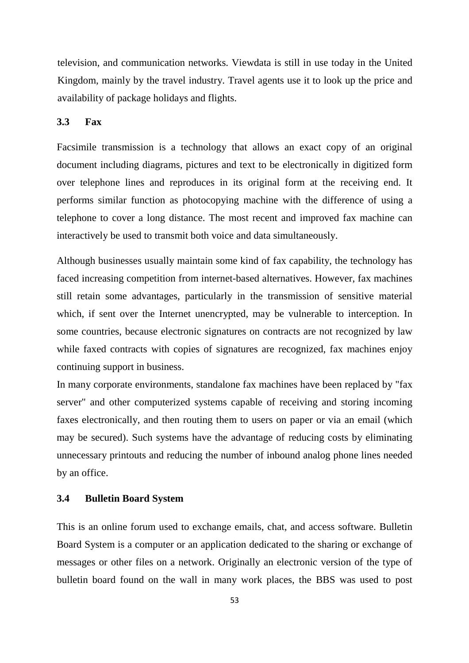television, and communication networks. Viewdata is still in use today in the United Kingdom, mainly by the travel industry. Travel agents use it to look up the price and availability of package holidays and flights.

#### **3.3 Fax**

Facsimile transmission is a technology that allows an exact copy of an original document including diagrams, pictures and text to be electronically in digitized form over telephone lines and reproduces in its original form at the receiving end. It performs similar function as photocopying machine with the difference of using a telephone to cover a long distance. The most recent and improved fax machine can interactively be used to transmit both voice and data simultaneously.

Although businesses usually maintain some kind of fax capability, the technology has faced increasing competition from internet-based alternatives. However, fax machines still retain some advantages, particularly in the transmission of sensitive material which, if sent over the Internet unencrypted, may be vulnerable to interception. In some countries, because electronic signatures on contracts are not recognized by law while faxed contracts with copies of signatures are recognized, fax machines enjoy continuing support in business.

In many corporate environments, standalone fax machines have been replaced by "fax server" and other computerized systems capable of receiving and storing incoming faxes electronically, and then routing them to users on paper or via an email (which may be secured). Such systems have the advantage of reducing costs by eliminating unnecessary printouts and reducing the number of inbound analog phone lines needed by an office.

## **3.4 Bulletin Board System**

This is an online forum used to exchange emails, chat, and access software. Bulletin Board System is a computer or an application dedicated to the sharing or exchange of messages or other files on a network. Originally an electronic version of the type of bulletin board found on the wall in many work places, the BBS was used to post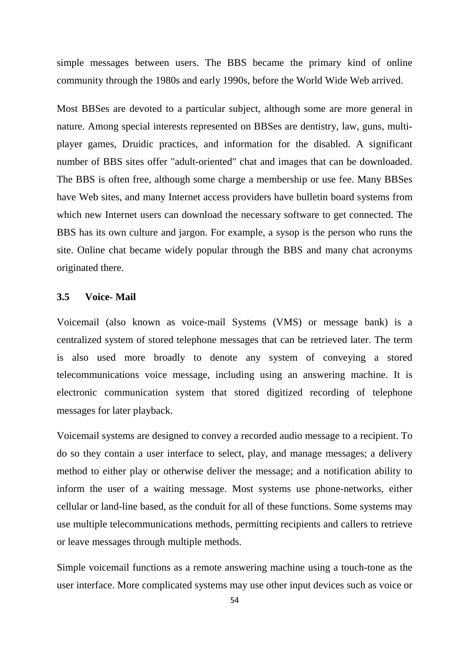simple messages between users. The BBS became the primary kind of online community through the 1980s and early 1990s, before the World Wide Web arrived.

Most BBSes are devoted to a particular subject, although some are more general in nature. Among special interests represented on BBSes are dentistry, law, guns, multiplayer games, Druidic practices, and information for the disabled. A significant number of BBS sites offer "adult-oriented" chat and images that can be downloaded. The BBS is often free, although some charge a membership or use fee. Many BBSes have Web sites, and many Internet access providers have bulletin board systems from which new Internet users can download the necessary software to get connected. The BBS has its own culture and jargon. For example, a sysop is the person who runs the site. Online chat became widely popular through the BBS and many chat acronyms originated there.

## **3.5 Voice- Mail**

Voicemail (also known as voice-mail Systems (VMS) or message bank) is a centralized system of stored telephone messages that can be retrieved later. The term is also used more broadly to denote any system of conveying a stored telecommunications voice message, including using an answering machine. It is electronic communication system that stored digitized recording of telephone messages for later playback.

Voicemail systems are designed to convey a recorded audio message to a recipient. To do so they contain a user interface to select, play, and manage messages; a delivery method to either play or otherwise deliver the message; and a notification ability to inform the user of a waiting message. Most systems use phone-networks, either cellular or land-line based, as the conduit for all of these functions. Some systems may use multiple telecommunications methods, permitting recipients and callers to retrieve or leave messages through multiple methods.

Simple voicemail functions as a remote answering machine using a touch-tone as the user interface. More complicated systems may use other input devices such as voice or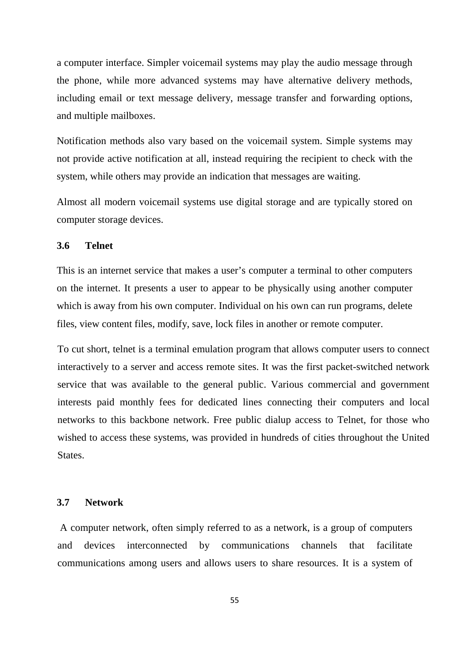a computer interface. Simpler voicemail systems may play the audio message through the phone, while more advanced systems may have alternative delivery methods, including email or text message delivery, message transfer and forwarding options, and multiple mailboxes.

Notification methods also vary based on the voicemail system. Simple systems may not provide active notification at all, instead requiring the recipient to check with the system, while others may provide an indication that messages are waiting.

Almost all modern voicemail systems use digital storage and are typically stored on computer storage devices.

#### **3.6 Telnet**

This is an internet service that makes a user's computer a terminal to other computers on the internet. It presents a user to appear to be physically using another computer which is away from his own computer. Individual on his own can run programs, delete files, view content files, modify, save, lock files in another or remote computer.

To cut short, telnet is a terminal emulation program that allows computer users to connect interactively to a server and access remote sites. It was the first packet-switched network service that was available to the general public. Various commercial and government interests paid monthly fees for dedicated lines connecting their computers and local networks to this backbone network. Free public dialup access to Telnet, for those who wished to access these systems, was provided in hundreds of cities throughout the United States.

#### **3.7 Network**

A computer network, often simply referred to as a network, is a group of computers and devices interconnected by communications channels that facilitate communications among users and allows users to share resources. It is a system of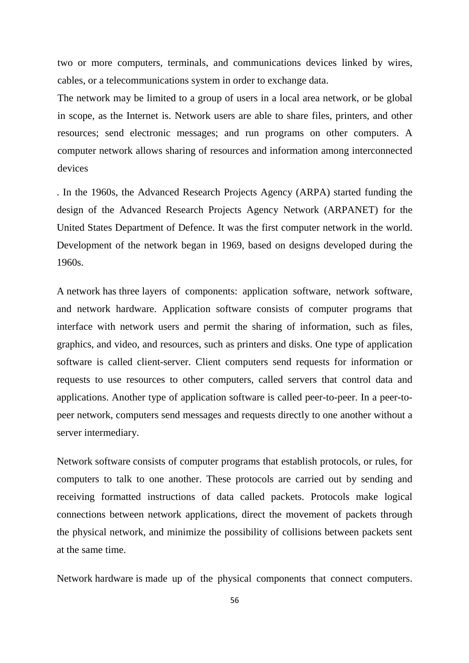two or more computers, terminals, and communications devices linked by wires, cables, or a telecommunications system in order to exchange data.

The network may be limited to a group of users in a local area network, or be global in scope, as the Internet is. Network users are able to share files, printers, and other resources; send electronic messages; and run programs on other computers. A computer network allows sharing of resources and information among interconnected devices

. In the 1960s, the Advanced Research Projects Agency (ARPA) started funding the design of the Advanced Research Projects Agency Network (ARPANET) for the United States Department of Defence. It was the first computer network in the world. Development of the network began in 1969, based on designs developed during the 1960s.

A network has three layers of components: application software, network software, and network hardware. Application software consists of computer programs that interface with network users and permit the sharing of information, such as files, graphics, and video, and resources, such as printers and disks. One type of application software is called client-server. Client computers send requests for information or requests to use resources to other computers, called servers that control data and applications. Another type of application software is called peer-to-peer. In a peer-topeer network, computers send messages and requests directly to one another without a server intermediary.

Network software consists of computer programs that establish protocols, or rules, for computers to talk to one another. These protocols are carried out by sending and receiving formatted instructions of data called packets. Protocols make logical connections between network applications, direct the movement of packets through the physical network, and minimize the possibility of collisions between packets sent at the same time.

Network hardware is made up of the physical components that connect computers.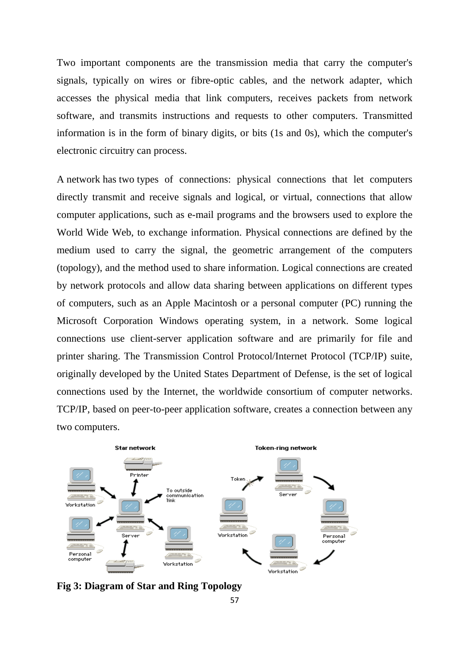Two important components are the transmission media that carry the computer's signals, typically on wires or fibre-optic cables, and the network adapter, which accesses the physical media that link computers, receives packets from network software, and transmits instructions and requests to other computers. Transmitted information is in the form of binary digits, or bits (1s and 0s), which the computer's electronic circuitry can process.

A network has two types of connections: physical connections that let computers directly transmit and receive signals and logical, or virtual, connections that allow computer applications, such as e-mail programs and the browsers used to explore the World Wide Web, to exchange information. Physical connections are defined by the medium used to carry the signal, the geometric arrangement of the computers (topology), and the method used to share information. Logical connections are created by network protocols and allow data sharing between applications on different types of computers, such as an Apple Macintosh or a personal computer (PC) running the Microsoft Corporation Windows operating system, in a network. Some logical connections use client-server application software and are primarily for file and printer sharing. The Transmission Control Protocol/Internet Protocol (TCP/IP) suite, originally developed by the United States Department of Defense, is the set of logical connections used by the Internet, the worldwide consortium of computer networks. TCP/IP, based on peer-to-peer application software, creates a connection between any two computers.



**Fig 3: Diagram of Star and Ring Topology**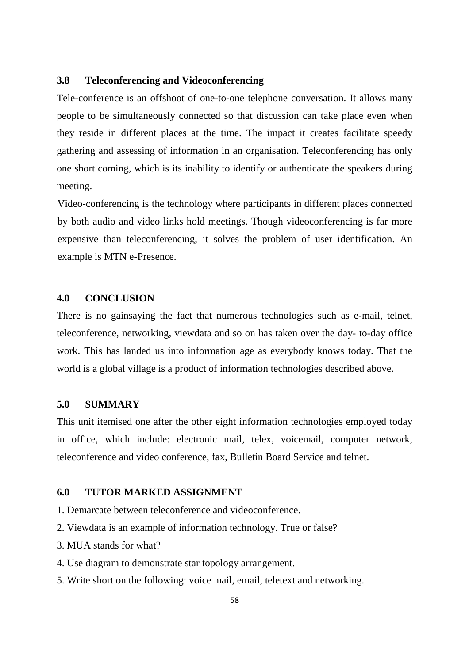## **3.8 Teleconferencing and Videoconferencing**

Tele-conference is an offshoot of one-to-one telephone conversation. It allows many people to be simultaneously connected so that discussion can take place even when they reside in different places at the time. The impact it creates facilitate speedy gathering and assessing of information in an organisation. Teleconferencing has only one short coming, which is its inability to identify or authenticate the speakers during meeting.

Video-conferencing is the technology where participants in different places connected by both audio and video links hold meetings. Though videoconferencing is far more expensive than teleconferencing, it solves the problem of user identification. An example is MTN e-Presence.

## **4.0 CONCLUSION**

There is no gainsaying the fact that numerous technologies such as e-mail, telnet, teleconference, networking, viewdata and so on has taken over the day- to-day office work. This has landed us into information age as everybody knows today. That the world is a global village is a product of information technologies described above.

## **5.0 SUMMARY**

This unit itemised one after the other eight information technologies employed today in office, which include: electronic mail, telex, voicemail, computer network, teleconference and video conference, fax, Bulletin Board Service and telnet.

## **6.0 TUTOR MARKED ASSIGNMENT**

- 1. Demarcate between teleconference and videoconference.
- 2. Viewdata is an example of information technology. True or false?
- 3. MUA stands for what?
- 4. Use diagram to demonstrate star topology arrangement.
- 5. Write short on the following: voice mail, email, teletext and networking.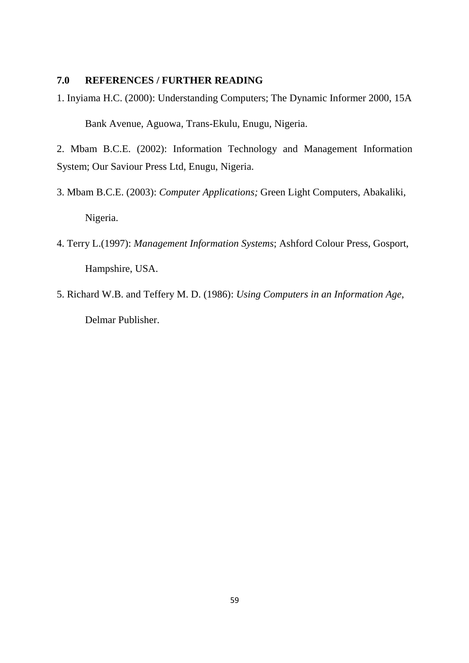## **7.0 REFERENCES / FURTHER READING**

1. Inyiama H.C. (2000): Understanding Computers; The Dynamic Informer 2000, 15A Bank Avenue, Aguowa, Trans-Ekulu, Enugu, Nigeria.

2. Mbam B.C.E. (2002): Information Technology and Management Information System; Our Saviour Press Ltd, Enugu, Nigeria.

- 3. Mbam B.C.E. (2003): *Computer Applications;* Green Light Computers, Abakaliki, Nigeria.
- 4. Terry L.(1997): *Management Information Systems*; Ashford Colour Press, Gosport, Hampshire, USA.
- 5. Richard W.B. and Teffery M. D. (1986): *Using Computers in an Information Age*, Delmar Publisher.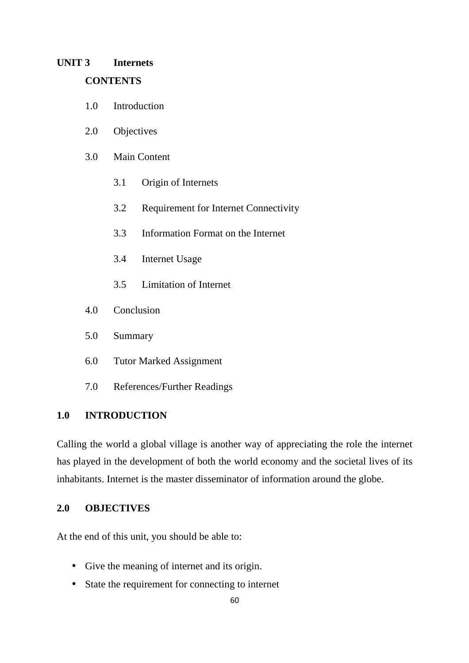# **UNIT 3 Internets CONTENTS**

- 1.0 Introduction
- 2.0 Objectives
- 3.0 Main Content
	- 3.1 Origin of Internets
	- 3.2 Requirement for Internet Connectivity
	- 3.3 Information Format on the Internet
	- 3.4 Internet Usage
	- 3.5 Limitation of Internet
- 4.0 Conclusion
- 5.0 Summary
- 6.0 Tutor Marked Assignment
- 7.0 References/Further Readings

## **1.0 INTRODUCTION**

Calling the world a global village is another way of appreciating the role the internet has played in the development of both the world economy and the societal lives of its inhabitants. Internet is the master disseminator of information around the globe.

# **2.0 OBJECTIVES**

At the end of this unit, you should be able to:

- Give the meaning of internet and its origin.
- State the requirement for connecting to internet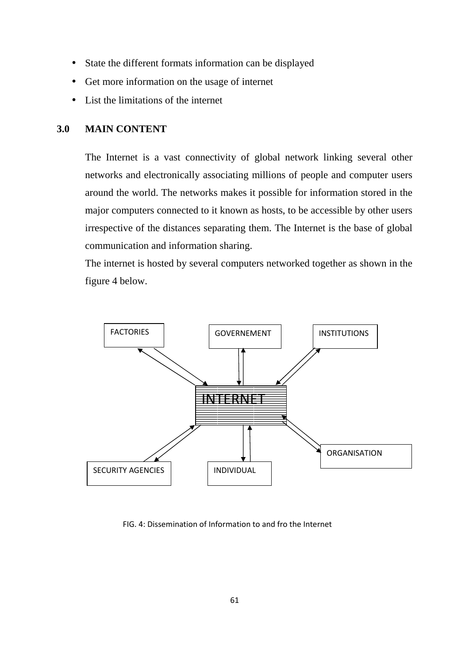- State the different formats information can be displayed
- Get more information on the usage of internet
- List the limitations of the internet

## **3.0 MAIN CONTENT**

The Internet is a vast connectivity of global network linking several other networks and electronically associating millions of people and computer users around the world. The networks makes it possible for information stored in the major computers connected to it known as hosts, to be accessible by other users irrespective of the distances separating them. The Internet is the base of global communication and information sharing.

The internet is hosted by several computers networked together as shown in the figure 4 below.



FIG. 4: Dissemination of Information to and fro the Internet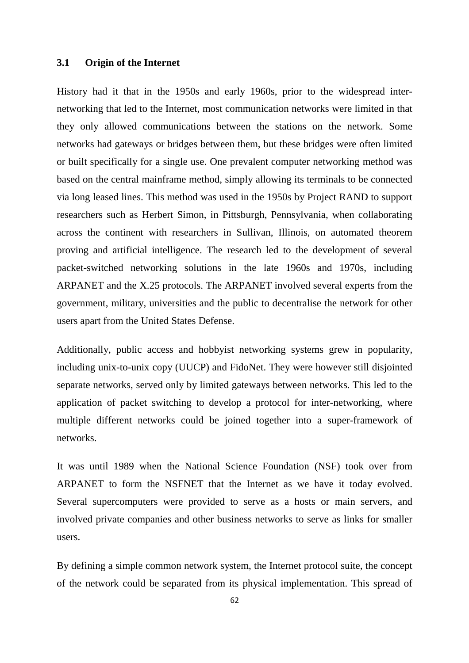#### **3.1 Origin of the Internet**

History had it that in the 1950s and early 1960s, prior to the widespread internetworking that led to the Internet, most communication networks were limited in that they only allowed communications between the stations on the network. Some networks had gateways or bridges between them, but these bridges were often limited or built specifically for a single use. One prevalent computer networking method was based on the central mainframe method, simply allowing its terminals to be connected via long leased lines. This method was used in the 1950s by Project RAND to support researchers such as Herbert Simon, in Pittsburgh, Pennsylvania, when collaborating across the continent with researchers in Sullivan, Illinois, on automated theorem proving and artificial intelligence. The research led to the development of several packet-switched networking solutions in the late 1960s and 1970s, including ARPANET and the X.25 protocols. The ARPANET involved several experts from the government, military, universities and the public to decentralise the network for other users apart from the United States Defense.

Additionally, public access and hobbyist networking systems grew in popularity, including unix-to-unix copy (UUCP) and FidoNet. They were however still disjointed separate networks, served only by limited gateways between networks. This led to the application of packet switching to develop a protocol for inter-networking, where multiple different networks could be joined together into a super-framework of networks.

It was until 1989 when the National Science Foundation (NSF) took over from ARPANET to form the NSFNET that the Internet as we have it today evolved. Several supercomputers were provided to serve as a hosts or main servers, and involved private companies and other business networks to serve as links for smaller users.

By defining a simple common network system, the Internet protocol suite, the concept of the network could be separated from its physical implementation. This spread of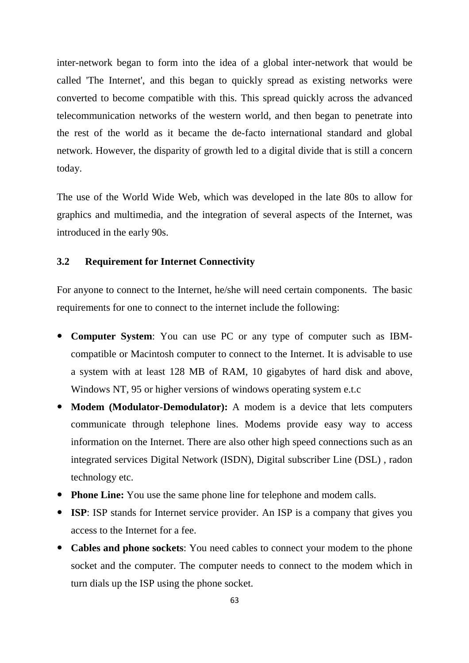inter-network began to form into the idea of a global inter-network that would be called 'The Internet', and this began to quickly spread as existing networks were converted to become compatible with this. This spread quickly across the advanced telecommunication networks of the western world, and then began to penetrate into the rest of the world as it became the de-facto international standard and global network. However, the disparity of growth led to a digital divide that is still a concern today.

The use of the World Wide Web, which was developed in the late 80s to allow for graphics and multimedia, and the integration of several aspects of the Internet, was introduced in the early 90s.

#### **3.2 Requirement for Internet Connectivity**

For anyone to connect to the Internet, he/she will need certain components. The basic requirements for one to connect to the internet include the following:

- **Computer System**: You can use PC or any type of computer such as IBMcompatible or Macintosh computer to connect to the Internet. It is advisable to use a system with at least 128 MB of RAM, 10 gigabytes of hard disk and above, Windows NT, 95 or higher versions of windows operating system e.t.c
- **Modem (Modulator-Demodulator):** A modem is a device that lets computers communicate through telephone lines. Modems provide easy way to access information on the Internet. There are also other high speed connections such as an integrated services Digital Network (ISDN), Digital subscriber Line (DSL) , radon technology etc.
- **Phone Line:** You use the same phone line for telephone and modem calls.
- **ISP**: ISP stands for Internet service provider. An ISP is a company that gives you access to the Internet for a fee.
- **Cables and phone sockets**: You need cables to connect your modem to the phone socket and the computer. The computer needs to connect to the modem which in turn dials up the ISP using the phone socket.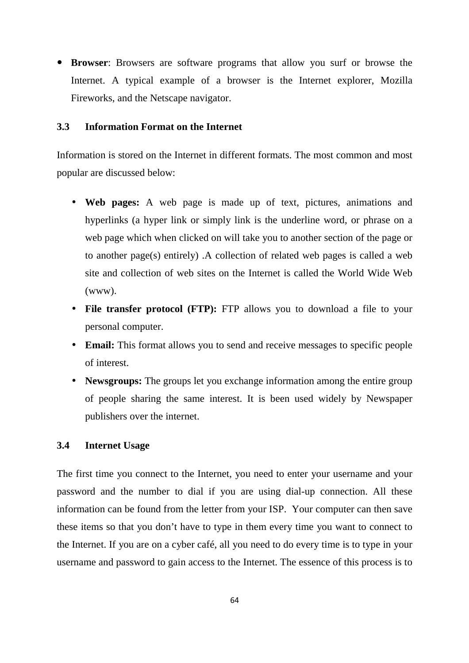**Browser**: Browsers are software programs that allow you surf or browse the Internet. A typical example of a browser is the Internet explorer, Mozilla Fireworks, and the Netscape navigator.

## **3.3 Information Format on the Internet**

Information is stored on the Internet in different formats. The most common and most popular are discussed below:

- **Web pages:** A web page is made up of text, pictures, animations and hyperlinks (a hyper link or simply link is the underline word, or phrase on a web page which when clicked on will take you to another section of the page or to another page(s) entirely) .A collection of related web pages is called a web site and collection of web sites on the Internet is called the World Wide Web (www).
- **File transfer protocol (FTP):** FTP allows you to download a file to your personal computer.
- **Email:** This format allows you to send and receive messages to specific people of interest.
- **Newsgroups:** The groups let you exchange information among the entire group of people sharing the same interest. It is been used widely by Newspaper publishers over the internet.

## **3.4 Internet Usage**

The first time you connect to the Internet, you need to enter your username and your password and the number to dial if you are using dial-up connection. All these information can be found from the letter from your ISP. Your computer can then save these items so that you don't have to type in them every time you want to connect to the Internet. If you are on a cyber café, all you need to do every time is to type in your username and password to gain access to the Internet. The essence of this process is to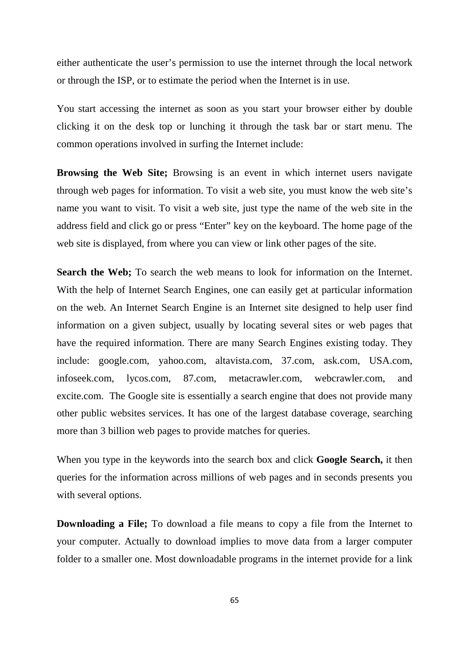either authenticate the user's permission to use the internet through the local network or through the ISP, or to estimate the period when the Internet is in use.

You start accessing the internet as soon as you start your browser either by double clicking it on the desk top or lunching it through the task bar or start menu. The common operations involved in surfing the Internet include:

**Browsing the Web Site;** Browsing is an event in which internet users navigate through web pages for information. To visit a web site, you must know the web site's name you want to visit. To visit a web site, just type the name of the web site in the address field and click go or press "Enter" key on the keyboard. The home page of the web site is displayed, from where you can view or link other pages of the site.

**Search the Web;** To search the web means to look for information on the Internet. With the help of Internet Search Engines, one can easily get at particular information on the web. An Internet Search Engine is an Internet site designed to help user find information on a given subject, usually by locating several sites or web pages that have the required information. There are many Search Engines existing today. They include: google.com, yahoo.com, altavista.com, 37.com, ask.com, USA.com, infoseek.com, lycos.com, 87.com, metacrawler.com, webcrawler.com, and excite.com. The Google site is essentially a search engine that does not provide many other public websites services. It has one of the largest database coverage, searching more than 3 billion web pages to provide matches for queries.

When you type in the keywords into the search box and click **Google Search,** it then queries for the information across millions of web pages and in seconds presents you with several options.

**Downloading a File;** To download a file means to copy a file from the Internet to your computer. Actually to download implies to move data from a larger computer folder to a smaller one. Most downloadable programs in the internet provide for a link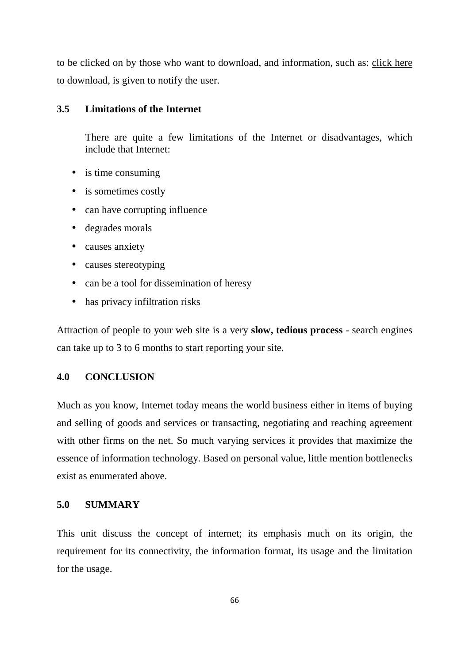to be clicked on by those who want to download, and information, such as: click here to download, is given to notify the user.

## **3.5 Limitations of the Internet**

There are quite a few limitations of the Internet or disadvantages, which include that Internet:

- is time consuming
- is sometimes costly
- can have corrupting influence
- degrades morals
- causes anxiety
- causes stereotyping
- can be a tool for dissemination of heresy
- has privacy infiltration risks

Attraction of people to your web site is a very **slow, tedious process** - search engines can take up to 3 to 6 months to start reporting your site.

# **4.0 CONCLUSION**

Much as you know, Internet today means the world business either in items of buying and selling of goods and services or transacting, negotiating and reaching agreement with other firms on the net. So much varying services it provides that maximize the essence of information technology. Based on personal value, little mention bottlenecks exist as enumerated above.

## **5.0 SUMMARY**

This unit discuss the concept of internet; its emphasis much on its origin, the requirement for its connectivity, the information format, its usage and the limitation for the usage.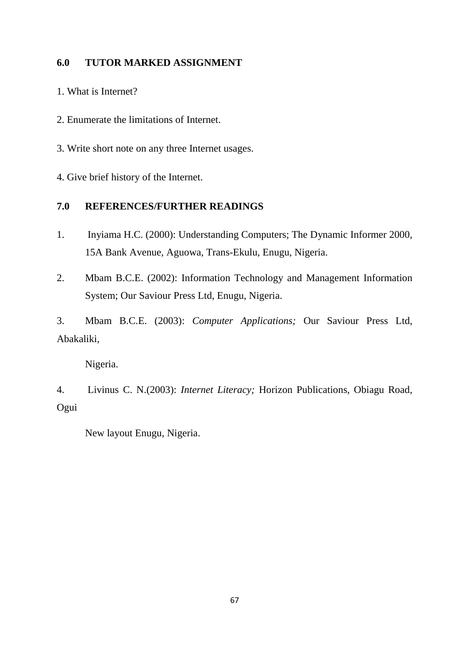# **6.0 TUTOR MARKED ASSIGNMENT**

1. What is Internet?

2. Enumerate the limitations of Internet.

3. Write short note on any three Internet usages.

4. Give brief history of the Internet.

# **7.0 REFERENCES/FURTHER READINGS**

- 1. Inyiama H.C. (2000): Understanding Computers; The Dynamic Informer 2000, 15A Bank Avenue, Aguowa, Trans-Ekulu, Enugu, Nigeria.
- 2. Mbam B.C.E. (2002): Information Technology and Management Information System; Our Saviour Press Ltd, Enugu, Nigeria.

3. Mbam B.C.E. (2003): *Computer Applications;* Our Saviour Press Ltd, Abakaliki,

Nigeria.

4. Livinus C. N.(2003): *Internet Literacy;* Horizon Publications, Obiagu Road, Ogui

New layout Enugu, Nigeria.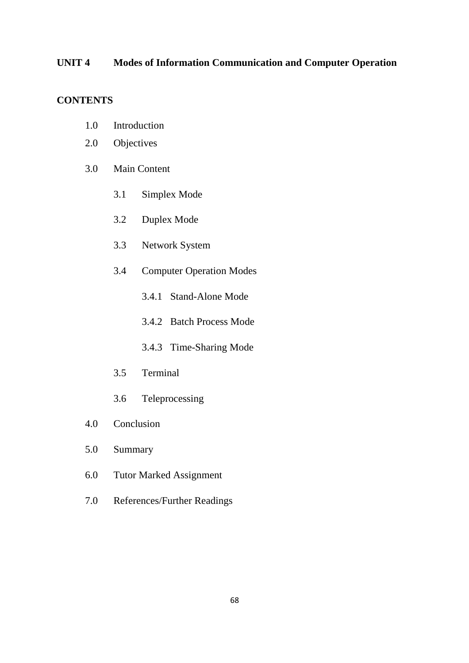# **UNIT 4 Modes of Information Communication and Computer Operation**

# **CONTENTS**

- 1.0 Introduction
- 2.0 Objectives
- 3.0 Main Content
	- 3.1 Simplex Mode
	- 3.2 Duplex Mode
	- 3.3 Network System
	- 3.4 Computer Operation Modes
		- 3.4.1 Stand-Alone Mode
		- 3.4.2 Batch Process Mode
		- 3.4.3 Time-Sharing Mode
	- 3.5 Terminal
	- 3.6 Teleprocessing
- 4.0 Conclusion
- 5.0 Summary
- 6.0 Tutor Marked Assignment
- 7.0 References/Further Readings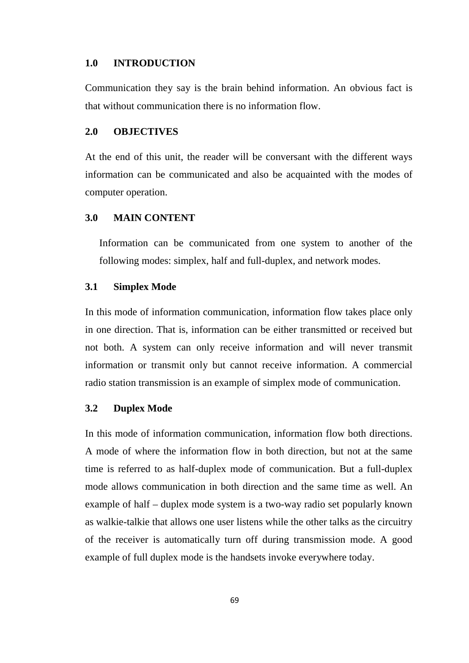## **1.0 INTRODUCTION**

Communication they say is the brain behind information. An obvious fact is that without communication there is no information flow.

#### **2.0 OBJECTIVES**

At the end of this unit, the reader will be conversant with the different ways information can be communicated and also be acquainted with the modes of computer operation.

#### **3.0 MAIN CONTENT**

Information can be communicated from one system to another of the following modes: simplex, half and full-duplex, and network modes.

#### **3.1 Simplex Mode**

In this mode of information communication, information flow takes place only in one direction. That is, information can be either transmitted or received but not both. A system can only receive information and will never transmit information or transmit only but cannot receive information. A commercial radio station transmission is an example of simplex mode of communication.

#### **3.2 Duplex Mode**

In this mode of information communication, information flow both directions. A mode of where the information flow in both direction, but not at the same time is referred to as half-duplex mode of communication. But a full-duplex mode allows communication in both direction and the same time as well. An example of half – duplex mode system is a two-way radio set popularly known as walkie-talkie that allows one user listens while the other talks as the circuitry of the receiver is automatically turn off during transmission mode. A good example of full duplex mode is the handsets invoke everywhere today.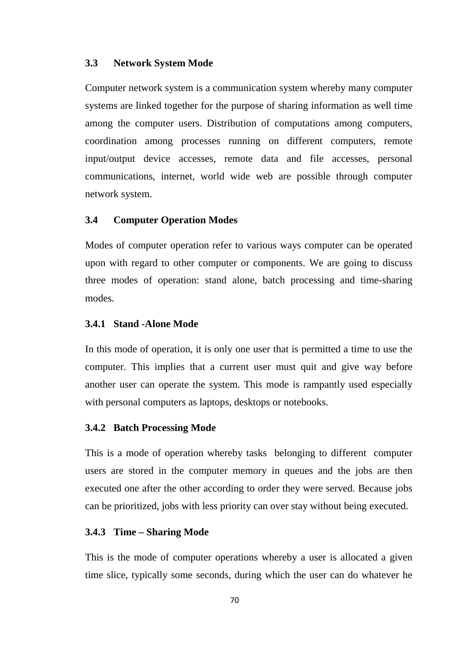#### **3.3 Network System Mode**

Computer network system is a communication system whereby many computer systems are linked together for the purpose of sharing information as well time among the computer users. Distribution of computations among computers, coordination among processes running on different computers, remote input/output device accesses, remote data and file accesses, personal communications, internet, world wide web are possible through computer network system.

## **3.4 Computer Operation Modes**

Modes of computer operation refer to various ways computer can be operated upon with regard to other computer or components. We are going to discuss three modes of operation: stand alone, batch processing and time-sharing modes.

#### **3.4.1 Stand -Alone Mode**

In this mode of operation, it is only one user that is permitted a time to use the computer. This implies that a current user must quit and give way before another user can operate the system. This mode is rampantly used especially with personal computers as laptops, desktops or notebooks.

#### **3.4.2 Batch Processing Mode**

This is a mode of operation whereby tasks belonging to different computer users are stored in the computer memory in queues and the jobs are then executed one after the other according to order they were served. Because jobs can be prioritized, jobs with less priority can over stay without being executed.

#### **3.4.3 Time – Sharing Mode**

This is the mode of computer operations whereby a user is allocated a given time slice, typically some seconds, during which the user can do whatever he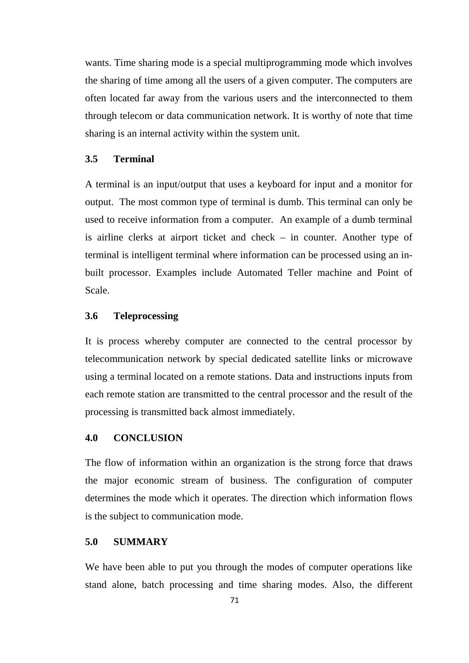wants. Time sharing mode is a special multiprogramming mode which involves the sharing of time among all the users of a given computer. The computers are often located far away from the various users and the interconnected to them through telecom or data communication network. It is worthy of note that time sharing is an internal activity within the system unit.

## **3.5 Terminal**

A terminal is an input/output that uses a keyboard for input and a monitor for output. The most common type of terminal is dumb. This terminal can only be used to receive information from a computer. An example of a dumb terminal is airline clerks at airport ticket and check – in counter. Another type of terminal is intelligent terminal where information can be processed using an inbuilt processor. Examples include Automated Teller machine and Point of Scale.

## **3.6 Teleprocessing**

It is process whereby computer are connected to the central processor by telecommunication network by special dedicated satellite links or microwave using a terminal located on a remote stations. Data and instructions inputs from each remote station are transmitted to the central processor and the result of the processing is transmitted back almost immediately.

## **4.0 CONCLUSION**

The flow of information within an organization is the strong force that draws the major economic stream of business. The configuration of computer determines the mode which it operates. The direction which information flows is the subject to communication mode.

### **5.0 SUMMARY**

We have been able to put you through the modes of computer operations like stand alone, batch processing and time sharing modes. Also, the different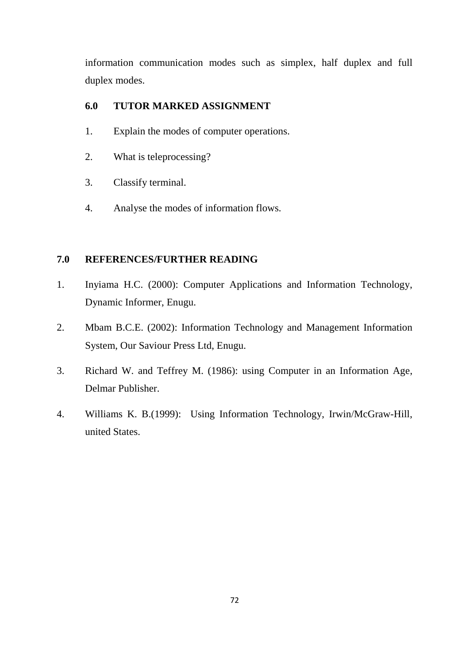information communication modes such as simplex, half duplex and full duplex modes.

# **6.0 TUTOR MARKED ASSIGNMENT**

- 1. Explain the modes of computer operations.
- 2. What is teleprocessing?
- 3. Classify terminal.
- 4. Analyse the modes of information flows.

## **7.0 REFERENCES/FURTHER READING**

- 1. Inyiama H.C. (2000): Computer Applications and Information Technology, Dynamic Informer, Enugu.
- 2. Mbam B.C.E. (2002): Information Technology and Management Information System, Our Saviour Press Ltd, Enugu.
- 3. Richard W. and Teffrey M. (1986): using Computer in an Information Age, Delmar Publisher.
- 4. Williams K. B.(1999): Using Information Technology, Irwin/McGraw-Hill, united States.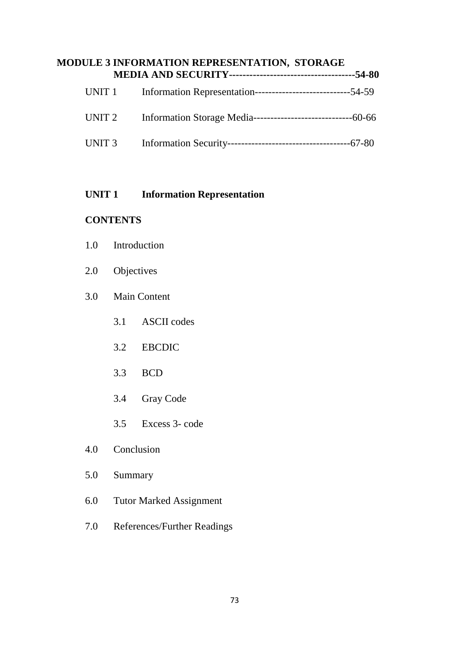# **MODULE 3 INFORMATION REPRESENTATION, STORAGE MEDIA AND SECURITY-------------------------------------54-80**  UNIT 1 Information Representation--------------------------------54-59 UNIT 2 Information Storage Media-----------------------------60-66

# **UNIT 1** Information Representation

# **CONTENTS**

- 1.0 Introduction
- 2.0 Objectives
- 3.0 Main Content
	- 3.1 ASCII codes
	- 3.2 EBCDIC
	- 3.3 BCD
	- 3.4 Gray Code
	- 3.5 Excess 3- code
- 4.0 Conclusion
- 5.0 Summary
- 6.0 Tutor Marked Assignment
- 7.0 References/Further Readings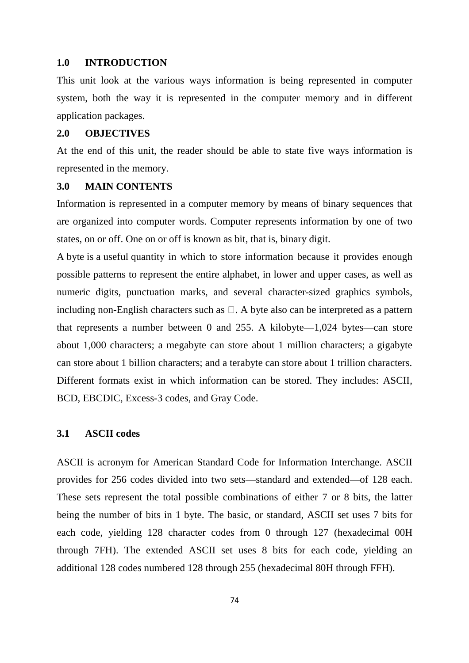#### **1.0 INTRODUCTION**

This unit look at the various ways information is being represented in computer system, both the way it is represented in the computer memory and in different application packages.

## **2.0 OBJECTIVES**

At the end of this unit, the reader should be able to state five ways information is represented in the memory.

## **3.0 MAIN CONTENTS**

Information is represented in a computer memory by means of binary sequences that are organized into computer words. Computer represents information by one of two states, on or off. One on or off is known as bit, that is, binary digit.

A byte is a useful quantity in which to store information because it provides enough possible patterns to represent the entire alphabet, in lower and upper cases, as well as numeric digits, punctuation marks, and several character-sized graphics symbols, including non-English characters such as . A byte also can be interpreted as a pattern that represents a number between 0 and 255. A kilobyte—1,024 bytes—can store about 1,000 characters; a megabyte can store about 1 million characters; a gigabyte can store about 1 billion characters; and a terabyte can store about 1 trillion characters. Different formats exist in which information can be stored. They includes: ASCII, BCD, EBCDIC, Excess-3 codes, and Gray Code.

#### **3.1 ASCII codes**

ASCII is acronym for American Standard Code for Information Interchange. ASCII provides for 256 codes divided into two sets—standard and extended—of 128 each. These sets represent the total possible combinations of either 7 or 8 bits, the latter being the number of bits in 1 byte. The basic, or standard, ASCII set uses 7 bits for each code, yielding 128 character codes from 0 through 127 (hexadecimal 00H through 7FH). The extended ASCII set uses 8 bits for each code, yielding an additional 128 codes numbered 128 through 255 (hexadecimal 80H through FFH).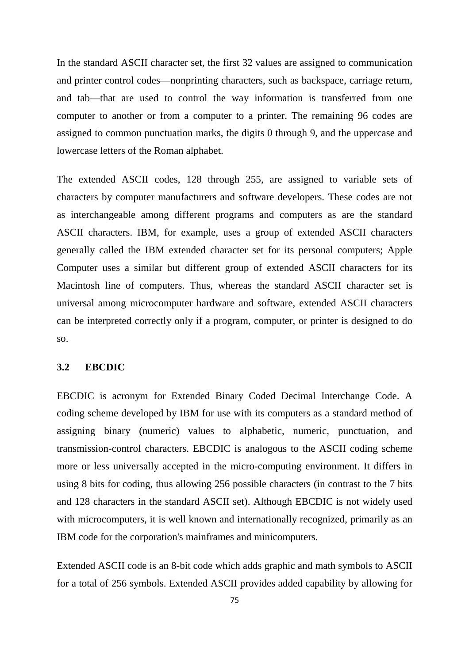In the standard ASCII character set, the first 32 values are assigned to communication and printer control codes—nonprinting characters, such as backspace, carriage return, and tab—that are used to control the way information is transferred from one computer to another or from a computer to a printer. The remaining 96 codes are assigned to common punctuation marks, the digits 0 through 9, and the uppercase and lowercase letters of the Roman alphabet.

The extended ASCII codes, 128 through 255, are assigned to variable sets of characters by computer manufacturers and software developers. These codes are not as interchangeable among different programs and computers as are the standard ASCII characters. IBM, for example, uses a group of extended ASCII characters generally called the IBM extended character set for its personal computers; Apple Computer uses a similar but different group of extended ASCII characters for its Macintosh line of computers. Thus, whereas the standard ASCII character set is universal among microcomputer hardware and software, extended ASCII characters can be interpreted correctly only if a program, computer, or printer is designed to do so.

## **3.2 EBCDIC**

EBCDIC is acronym for Extended Binary Coded Decimal Interchange Code. A coding scheme developed by IBM for use with its computers as a standard method of assigning binary (numeric) values to alphabetic, numeric, punctuation, and transmission-control characters. EBCDIC is analogous to the ASCII coding scheme more or less universally accepted in the micro-computing environment. It differs in using 8 bits for coding, thus allowing 256 possible characters (in contrast to the 7 bits and 128 characters in the standard ASCII set). Although EBCDIC is not widely used with microcomputers, it is well known and internationally recognized, primarily as an IBM code for the corporation's mainframes and minicomputers.

Extended ASCII code is an 8-bit code which adds graphic and math symbols to ASCII for a total of 256 symbols. Extended ASCII provides added capability by allowing for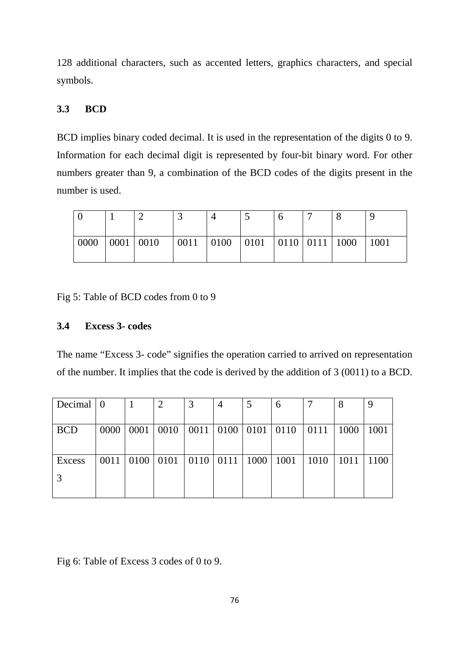128 additional characters, such as accented letters, graphics characters, and special symbols.

# **3.3 BCD**

BCD implies binary coded decimal. It is used in the representation of the digits 0 to 9. Information for each decimal digit is represented by four-bit binary word. For other numbers greater than 9, a combination of the BCD codes of the digits present in the number is used.

| 0000 | 0001 0010 | $\vert 0011 \vert 0100 \vert 0101 \vert 0110 \vert 0111 \vert 1000$ |  |  | 1001 |
|------|-----------|---------------------------------------------------------------------|--|--|------|

Fig 5: Table of BCD codes from 0 to 9

## **3.4 Excess 3- codes**

The name "Excess 3- code" signifies the operation carried to arrived on representation of the number. It implies that the code is derived by the addition of 3 (0011) to a BCD.

| Decimal $\vert 0 \vert$ |      |      | $\overline{2}$ | 3         | 4    | 5           | 6           |      | 8    | 9    |
|-------------------------|------|------|----------------|-----------|------|-------------|-------------|------|------|------|
|                         |      |      |                |           |      |             |             |      |      |      |
| <b>BCD</b>              | 0000 | 0001 | 0010           | 0011 0100 |      | $\mid$ 0101 | $\mid$ 0110 | 0111 | 1000 | 1001 |
|                         |      |      |                |           |      |             |             |      |      |      |
| Excess                  | 0011 | 0100 | 0101           | 0110      | 0111 | 1000        | 1001        | 1010 | 1011 | 1100 |
|                         |      |      |                |           |      |             |             |      |      |      |
|                         |      |      |                |           |      |             |             |      |      |      |

Fig 6: Table of Excess 3 codes of 0 to 9.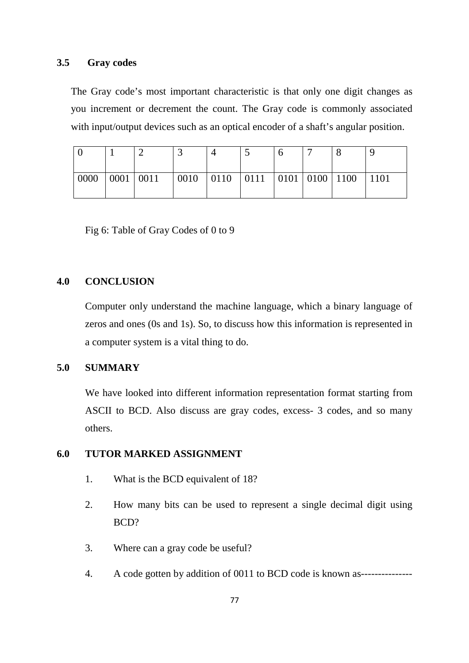## **3.5 Gray codes**

The Gray code's most important characteristic is that only one digit changes as you increment or decrement the count. The Gray code is commonly associated with input/output devices such as an optical encoder of a shaft's angular position.

| 0000 | 0001 0011 |  | $\vert 0010 \vert 0110 \vert 0111 \vert 0101 \vert 0100 \vert 1100$ |  | 1101 |
|------|-----------|--|---------------------------------------------------------------------|--|------|

Fig 6: Table of Gray Codes of 0 to 9

# **4.0 CONCLUSION**

Computer only understand the machine language, which a binary language of zeros and ones (0s and 1s). So, to discuss how this information is represented in a computer system is a vital thing to do.

# **5.0 SUMMARY**

We have looked into different information representation format starting from ASCII to BCD. Also discuss are gray codes, excess- 3 codes, and so many others.

# **6.0 TUTOR MARKED ASSIGNMENT**

- 1. What is the BCD equivalent of 18?
- 2. How many bits can be used to represent a single decimal digit using BCD?
- 3. Where can a gray code be useful?
- 4. A code gotten by addition of 0011 to BCD code is known as---------------------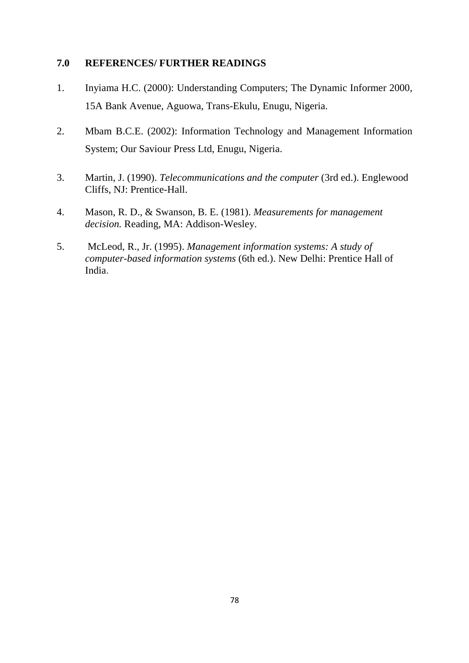# **7.0 REFERENCES/ FURTHER READINGS**

- 1. Inyiama H.C. (2000): Understanding Computers; The Dynamic Informer 2000, 15A Bank Avenue, Aguowa, Trans-Ekulu, Enugu, Nigeria.
- 2. Mbam B.C.E. (2002): Information Technology and Management Information System; Our Saviour Press Ltd, Enugu, Nigeria.
- 3. Martin, J. (1990). *Telecommunications and the computer* (3rd ed.). Englewood Cliffs, NJ: Prentice-Hall.
- 4. Mason, R. D., & Swanson, B. E. (1981). *Measurements for management decision.* Reading, MA: Addison-Wesley.
- 5. McLeod, R., Jr. (1995). *Management information systems: A study of computer-based information systems* (6th ed.). New Delhi: Prentice Hall of India.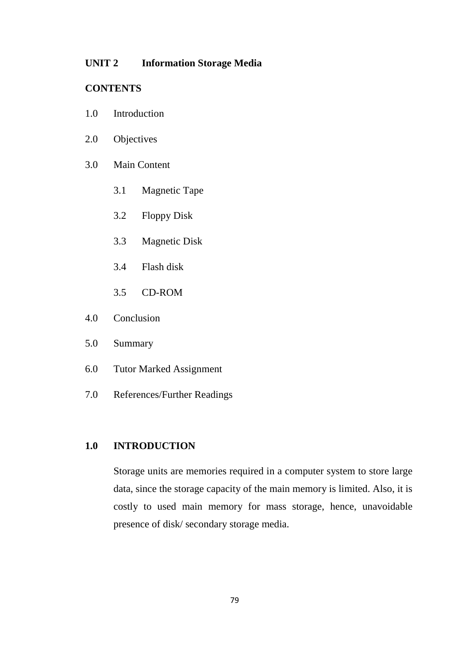## **UNIT 2 Information Storage Media**

# **CONTENTS**

- 1.0 Introduction
- 2.0 Objectives
- 3.0 Main Content
	- 3.1 Magnetic Tape
	- 3.2 Floppy Disk
	- 3.3 Magnetic Disk
	- 3.4 Flash disk
	- 3.5 CD-ROM
- 4.0 Conclusion
- 5.0 Summary
- 6.0 Tutor Marked Assignment
- 7.0 References/Further Readings

# **1.0 INTRODUCTION**

Storage units are memories required in a computer system to store large data, since the storage capacity of the main memory is limited. Also, it is costly to used main memory for mass storage, hence, unavoidable presence of disk/ secondary storage media.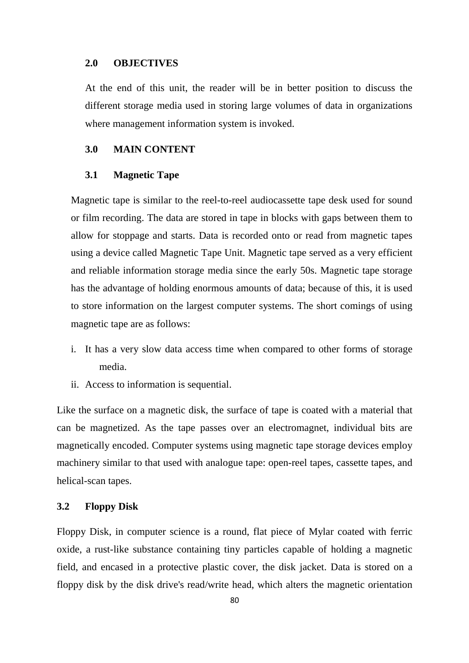### **2.0 OBJECTIVES**

At the end of this unit, the reader will be in better position to discuss the different storage media used in storing large volumes of data in organizations where management information system is invoked.

#### **3.0 MAIN CONTENT**

#### **3.1 Magnetic Tape**

Magnetic tape is similar to the reel-to-reel audiocassette tape desk used for sound or film recording. The data are stored in tape in blocks with gaps between them to allow for stoppage and starts. Data is recorded onto or read from magnetic tapes using a device called Magnetic Tape Unit. Magnetic tape served as a very efficient and reliable information storage media since the early 50s. Magnetic tape storage has the advantage of holding enormous amounts of data; because of this, it is used to store information on the largest computer systems. The short comings of using magnetic tape are as follows:

- i. It has a very slow data access time when compared to other forms of storage media.
- ii. Access to information is sequential.

Like the surface on a magnetic disk, the surface of tape is coated with a material that can be magnetized. As the tape passes over an electromagnet, individual bits are magnetically encoded. Computer systems using magnetic tape storage devices employ machinery similar to that used with analogue tape: open-reel tapes, cassette tapes, and helical-scan tapes.

## **3.2 Floppy Disk**

Floppy Disk, in computer science is a round, flat piece of Mylar coated with ferric oxide, a rust-like substance containing tiny particles capable of holding a magnetic field, and encased in a protective plastic cover, the disk jacket. Data is stored on a floppy disk by the disk drive's read/write head, which alters the magnetic orientation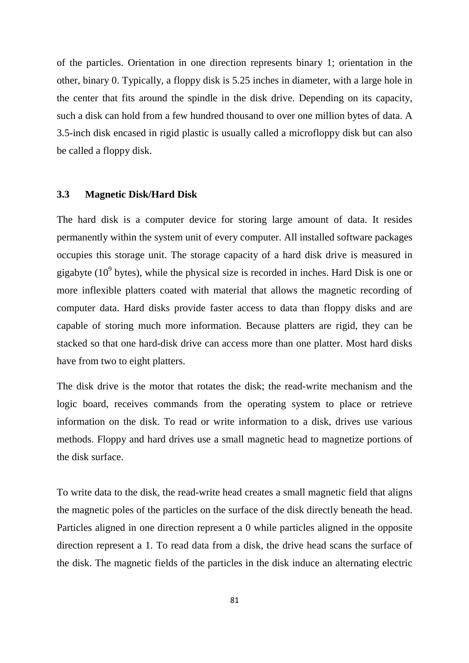of the particles. Orientation in one direction represents binary 1; orientation in the other, binary 0. Typically, a floppy disk is 5.25 inches in diameter, with a large hole in the center that fits around the spindle in the disk drive. Depending on its capacity, such a disk can hold from a few hundred thousand to over one million bytes of data. A 3.5-inch disk encased in rigid plastic is usually called a microfloppy disk but can also be called a floppy disk.

## **3.3 Magnetic Disk/Hard Disk**

The hard disk is a computer device for storing large amount of data. It resides permanently within the system unit of every computer. All installed software packages occupies this storage unit. The storage capacity of a hard disk drive is measured in gigabyte  $(10^9)$  bytes), while the physical size is recorded in inches. Hard Disk is one or more inflexible platters coated with material that allows the magnetic recording of computer data. Hard disks provide faster access to data than floppy disks and are capable of storing much more information. Because platters are rigid, they can be stacked so that one hard-disk drive can access more than one platter. Most hard disks have from two to eight platters.

The disk drive is the motor that rotates the disk; the read-write mechanism and the logic board, receives commands from the operating system to place or retrieve information on the disk. To read or write information to a disk, drives use various methods. Floppy and hard drives use a small magnetic head to magnetize portions of the disk surface.

To write data to the disk, the read-write head creates a small magnetic field that aligns the magnetic poles of the particles on the surface of the disk directly beneath the head. Particles aligned in one direction represent a 0 while particles aligned in the opposite direction represent a 1. To read data from a disk, the drive head scans the surface of the disk. The magnetic fields of the particles in the disk induce an alternating electric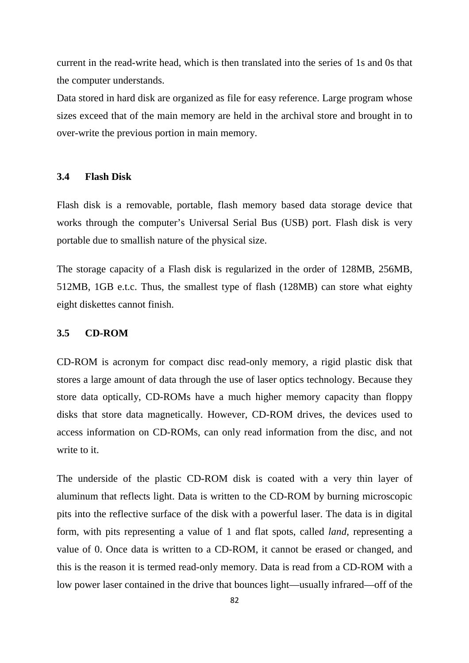current in the read-write head, which is then translated into the series of 1s and 0s that the computer understands.

Data stored in hard disk are organized as file for easy reference. Large program whose sizes exceed that of the main memory are held in the archival store and brought in to over-write the previous portion in main memory.

## **3.4 Flash Disk**

Flash disk is a removable, portable, flash memory based data storage device that works through the computer's Universal Serial Bus (USB) port. Flash disk is very portable due to smallish nature of the physical size.

The storage capacity of a Flash disk is regularized in the order of 128MB, 256MB, 512MB, 1GB e.t.c. Thus, the smallest type of flash (128MB) can store what eighty eight diskettes cannot finish.

## **3.5 CD-ROM**

CD-ROM is acronym for compact disc read-only memory, a rigid plastic disk that stores a large amount of data through the use of laser optics technology. Because they store data optically, CD-ROMs have a much higher memory capacity than floppy disks that store data magnetically. However, CD-ROM drives, the devices used to access information on CD-ROMs, can only read information from the disc, and not write to it.

The underside of the plastic CD-ROM disk is coated with a very thin layer of aluminum that reflects light. Data is written to the CD-ROM by burning microscopic pits into the reflective surface of the disk with a powerful laser. The data is in digital form, with pits representing a value of 1 and flat spots, called *land*, representing a value of 0. Once data is written to a CD-ROM, it cannot be erased or changed, and this is the reason it is termed read-only memory. Data is read from a CD-ROM with a low power laser contained in the drive that bounces light—usually infrared—off of the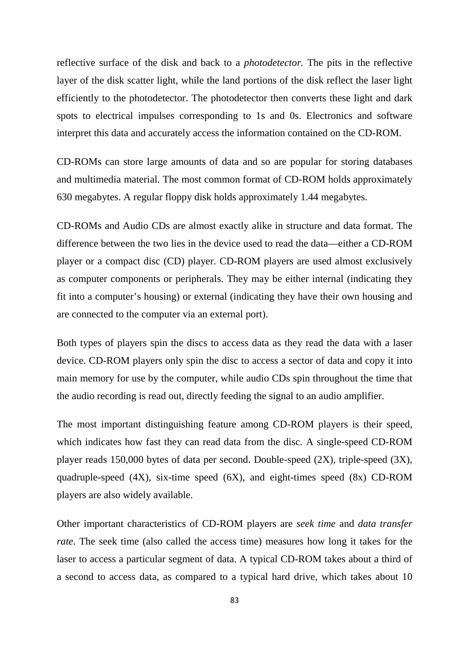reflective surface of the disk and back to a *photodetector.* The pits in the reflective layer of the disk scatter light, while the land portions of the disk reflect the laser light efficiently to the photodetector. The photodetector then converts these light and dark spots to electrical impulses corresponding to 1s and 0s. Electronics and software interpret this data and accurately access the information contained on the CD-ROM.

CD-ROMs can store large amounts of data and so are popular for storing databases and multimedia material. The most common format of CD-ROM holds approximately 630 megabytes. A regular floppy disk holds approximately 1.44 megabytes.

CD-ROMs and Audio CDs are almost exactly alike in structure and data format. The difference between the two lies in the device used to read the data—either a CD-ROM player or a compact disc (CD) player. CD-ROM players are used almost exclusively as computer components or peripherals. They may be either internal (indicating they fit into a computer's housing) or external (indicating they have their own housing and are connected to the computer via an external port).

Both types of players spin the discs to access data as they read the data with a laser device. CD-ROM players only spin the disc to access a sector of data and copy it into main memory for use by the computer, while audio CDs spin throughout the time that the audio recording is read out, directly feeding the signal to an audio amplifier.

The most important distinguishing feature among CD-ROM players is their speed, which indicates how fast they can read data from the disc. A single-speed CD-ROM player reads 150,000 bytes of data per second. Double-speed (2X), triple-speed (3X), quadruple-speed (4X), six-time speed (6X), and eight-times speed (8x) CD-ROM players are also widely available.

Other important characteristics of CD-ROM players are *seek time* and *data transfer rate*. The seek time (also called the access time) measures how long it takes for the laser to access a particular segment of data. A typical CD-ROM takes about a third of a second to access data, as compared to a typical hard drive, which takes about 10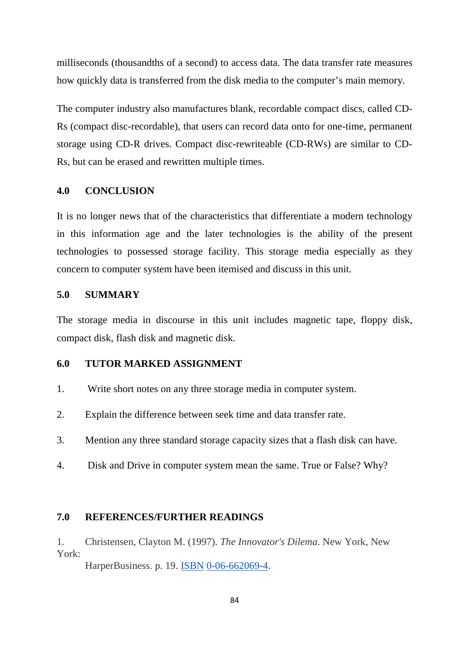milliseconds (thousandths of a second) to access data. The data transfer rate measures how quickly data is transferred from the disk media to the computer's main memory.

The computer industry also manufactures blank, recordable compact discs, called CD-Rs (compact disc-recordable), that users can record data onto for one-time, permanent storage using CD-R drives. Compact disc-rewriteable (CD-RWs) are similar to CD-Rs, but can be erased and rewritten multiple times.

## **4.0 CONCLUSION**

It is no longer news that of the characteristics that differentiate a modern technology in this information age and the later technologies is the ability of the present technologies to possessed storage facility. This storage media especially as they concern to computer system have been itemised and discuss in this unit.

## **5.0 SUMMARY**

The storage media in discourse in this unit includes magnetic tape, floppy disk, compact disk, flash disk and magnetic disk.

## **6.0 TUTOR MARKED ASSIGNMENT**

- 1. Write short notes on any three storage media in computer system.
- 2. Explain the difference between seek time and data transfer rate.
- 3. Mention any three standard storage capacity sizes that a flash disk can have.
- 4. Disk and Drive in computer system mean the same. True or False? Why?

## **7.0 REFERENCES/FURTHER READINGS**

1. Christensen, Clayton M. (1997). *The Innovator's Dilema*. New York, New York:

HarperBusiness. p. 19. ISBN 0-06-662069-4.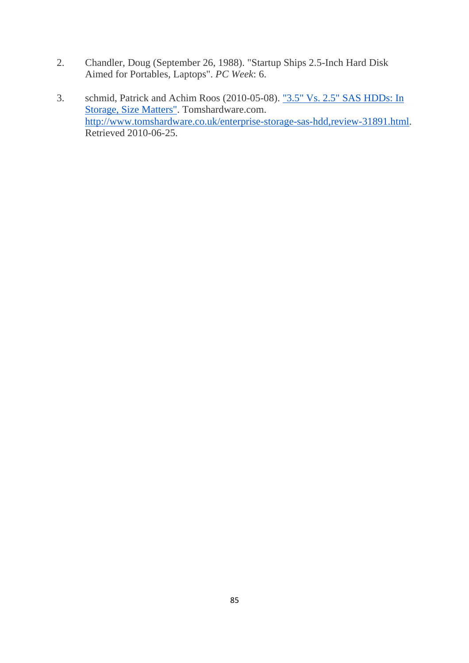- 2. Chandler, Doug (September 26, 1988). "Startup Ships 2.5-Inch Hard Disk Aimed for Portables, Laptops". *PC Week*: 6.
- 3. schmid, Patrick and Achim Roos (2010-05-08). "3.5" Vs. 2.5" SAS HDDs: In Storage, Size Matters". Tomshardware.com. http://www.tomshardware.co.uk/enterprise-storage-sas-hdd,review-31891.html. Retrieved 2010-06-25.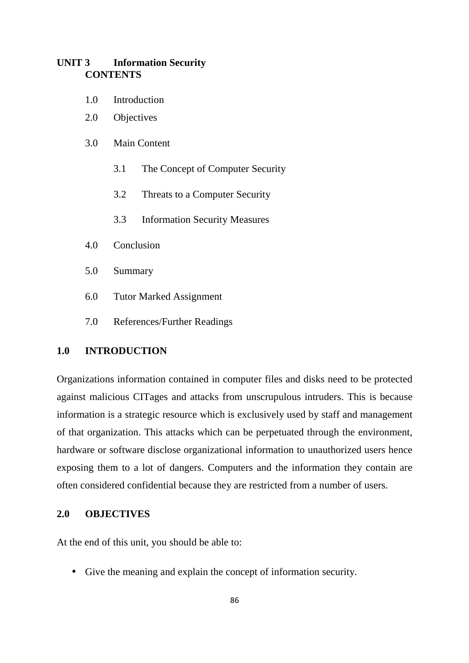# **UNIT 3 Information Security CONTENTS**

- 1.0 Introduction
- 2.0 Objectives
- 3.0 Main Content
	- 3.1 The Concept of Computer Security
	- 3.2 Threats to a Computer Security
	- 3.3 Information Security Measures
- 4.0 Conclusion
- 5.0 Summary
- 6.0 Tutor Marked Assignment
- 7.0 References/Further Readings

# **1.0 INTRODUCTION**

Organizations information contained in computer files and disks need to be protected against malicious CITages and attacks from unscrupulous intruders. This is because information is a strategic resource which is exclusively used by staff and management of that organization. This attacks which can be perpetuated through the environment, hardware or software disclose organizational information to unauthorized users hence exposing them to a lot of dangers. Computers and the information they contain are often considered confidential because they are restricted from a number of users.

## **2.0 OBJECTIVES**

At the end of this unit, you should be able to:

• Give the meaning and explain the concept of information security.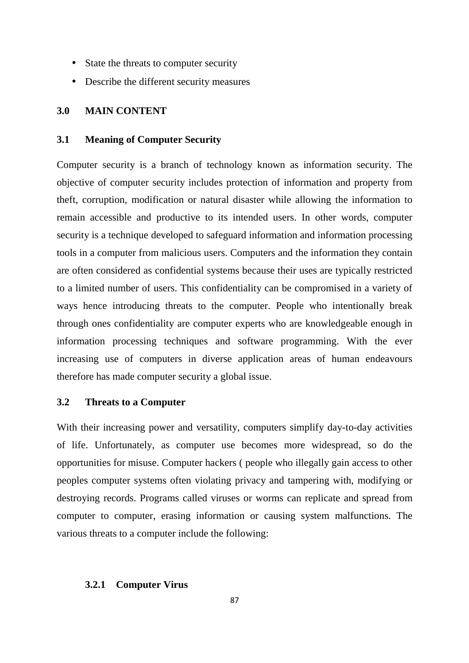- State the threats to computer security
- Describe the different security measures

## **3.0 MAIN CONTENT**

## **3.1 Meaning of Computer Security**

Computer security is a branch of technology known as information security. The objective of computer security includes protection of information and property from theft, corruption, modification or natural disaster while allowing the information to remain accessible and productive to its intended users. In other words, computer security is a technique developed to safeguard information and information processing tools in a computer from malicious users. Computers and the information they contain are often considered as confidential systems because their uses are typically restricted to a limited number of users. This confidentiality can be compromised in a variety of ways hence introducing threats to the computer. People who intentionally break through ones confidentiality are computer experts who are knowledgeable enough in information processing techniques and software programming. With the ever increasing use of computers in diverse application areas of human endeavours therefore has made computer security a global issue.

# **3.2 Threats to a Computer**

With their increasing power and versatility, computers simplify day-to-day activities of life. Unfortunately, as computer use becomes more widespread, so do the opportunities for misuse. Computer hackers ( people who illegally gain access to other peoples computer systems often violating privacy and tampering with, modifying or destroying records. Programs called viruses or worms can replicate and spread from computer to computer, erasing information or causing system malfunctions. The various threats to a computer include the following:

#### **3.2.1 Computer Virus**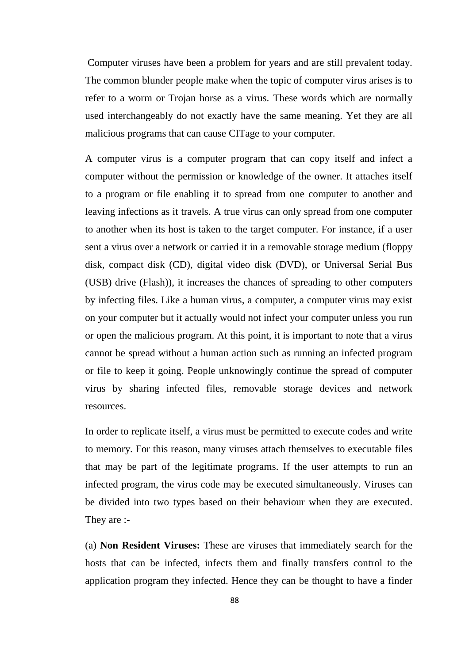Computer viruses have been a problem for years and are still prevalent today. The common blunder people make when the topic of computer virus arises is to refer to a worm or Trojan horse as a virus. These words which are normally used interchangeably do not exactly have the same meaning. Yet they are all malicious programs that can cause CITage to your computer.

A computer virus is a computer program that can copy itself and infect a computer without the permission or knowledge of the owner. It attaches itself to a program or file enabling it to spread from one computer to another and leaving infections as it travels. A true virus can only spread from one computer to another when its host is taken to the target computer. For instance, if a user sent a virus over a network or carried it in a removable storage medium (floppy disk, compact disk (CD), digital video disk (DVD), or Universal Serial Bus (USB) drive (Flash)), it increases the chances of spreading to other computers by infecting files. Like a human virus, a computer, a computer virus may exist on your computer but it actually would not infect your computer unless you run or open the malicious program. At this point, it is important to note that a virus cannot be spread without a human action such as running an infected program or file to keep it going. People unknowingly continue the spread of computer virus by sharing infected files, removable storage devices and network resources.

In order to replicate itself, a virus must be permitted to execute codes and write to memory. For this reason, many viruses attach themselves to executable files that may be part of the legitimate programs. If the user attempts to run an infected program, the virus code may be executed simultaneously. Viruses can be divided into two types based on their behaviour when they are executed. They are :-

(a) **Non Resident Viruses:** These are viruses that immediately search for the hosts that can be infected, infects them and finally transfers control to the application program they infected. Hence they can be thought to have a finder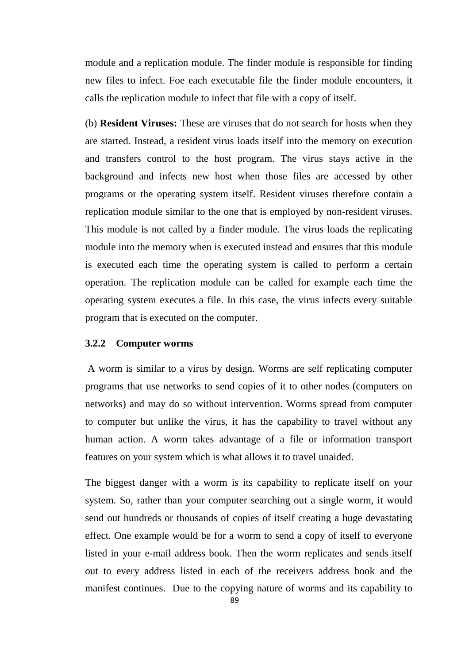module and a replication module. The finder module is responsible for finding new files to infect. Foe each executable file the finder module encounters, it calls the replication module to infect that file with a copy of itself.

(b) **Resident Viruses:** These are viruses that do not search for hosts when they are started. Instead, a resident virus loads itself into the memory on execution and transfers control to the host program. The virus stays active in the background and infects new host when those files are accessed by other programs or the operating system itself. Resident viruses therefore contain a replication module similar to the one that is employed by non-resident viruses. This module is not called by a finder module. The virus loads the replicating module into the memory when is executed instead and ensures that this module is executed each time the operating system is called to perform a certain operation. The replication module can be called for example each time the operating system executes a file. In this case, the virus infects every suitable program that is executed on the computer.

## **3.2.2 Computer worms**

 A worm is similar to a virus by design. Worms are self replicating computer programs that use networks to send copies of it to other nodes (computers on networks) and may do so without intervention. Worms spread from computer to computer but unlike the virus, it has the capability to travel without any human action. A worm takes advantage of a file or information transport features on your system which is what allows it to travel unaided.

The biggest danger with a worm is its capability to replicate itself on your system. So, rather than your computer searching out a single worm, it would send out hundreds or thousands of copies of itself creating a huge devastating effect. One example would be for a worm to send a copy of itself to everyone listed in your e-mail address book. Then the worm replicates and sends itself out to every address listed in each of the receivers address book and the manifest continues. Due to the copying nature of worms and its capability to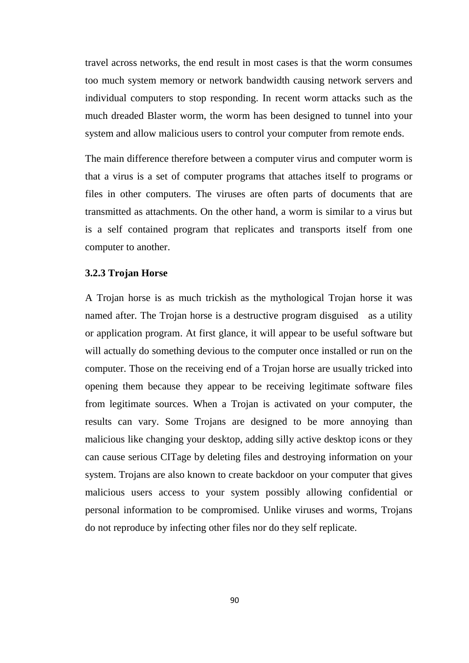travel across networks, the end result in most cases is that the worm consumes too much system memory or network bandwidth causing network servers and individual computers to stop responding. In recent worm attacks such as the much dreaded Blaster worm, the worm has been designed to tunnel into your system and allow malicious users to control your computer from remote ends.

The main difference therefore between a computer virus and computer worm is that a virus is a set of computer programs that attaches itself to programs or files in other computers. The viruses are often parts of documents that are transmitted as attachments. On the other hand, a worm is similar to a virus but is a self contained program that replicates and transports itself from one computer to another.

#### **3.2.3 Trojan Horse**

A Trojan horse is as much trickish as the mythological Trojan horse it was named after. The Trojan horse is a destructive program disguised as a utility or application program. At first glance, it will appear to be useful software but will actually do something devious to the computer once installed or run on the computer. Those on the receiving end of a Trojan horse are usually tricked into opening them because they appear to be receiving legitimate software files from legitimate sources. When a Trojan is activated on your computer, the results can vary. Some Trojans are designed to be more annoying than malicious like changing your desktop, adding silly active desktop icons or they can cause serious CITage by deleting files and destroying information on your system. Trojans are also known to create backdoor on your computer that gives malicious users access to your system possibly allowing confidential or personal information to be compromised. Unlike viruses and worms, Trojans do not reproduce by infecting other files nor do they self replicate.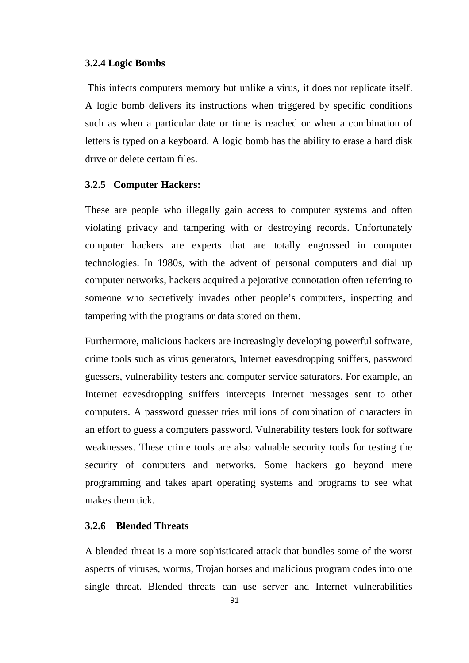#### **3.2.4 Logic Bombs**

 This infects computers memory but unlike a virus, it does not replicate itself. A logic bomb delivers its instructions when triggered by specific conditions such as when a particular date or time is reached or when a combination of letters is typed on a keyboard. A logic bomb has the ability to erase a hard disk drive or delete certain files.

#### **3.2.5 Computer Hackers:**

These are people who illegally gain access to computer systems and often violating privacy and tampering with or destroying records. Unfortunately computer hackers are experts that are totally engrossed in computer technologies. In 1980s, with the advent of personal computers and dial up computer networks, hackers acquired a pejorative connotation often referring to someone who secretively invades other people's computers, inspecting and tampering with the programs or data stored on them.

Furthermore, malicious hackers are increasingly developing powerful software, crime tools such as virus generators, Internet eavesdropping sniffers, password guessers, vulnerability testers and computer service saturators. For example, an Internet eavesdropping sniffers intercepts Internet messages sent to other computers. A password guesser tries millions of combination of characters in an effort to guess a computers password. Vulnerability testers look for software weaknesses. These crime tools are also valuable security tools for testing the security of computers and networks. Some hackers go beyond mere programming and takes apart operating systems and programs to see what makes them tick.

## **3.2.6 Blended Threats**

A blended threat is a more sophisticated attack that bundles some of the worst aspects of viruses, worms, Trojan horses and malicious program codes into one single threat. Blended threats can use server and Internet vulnerabilities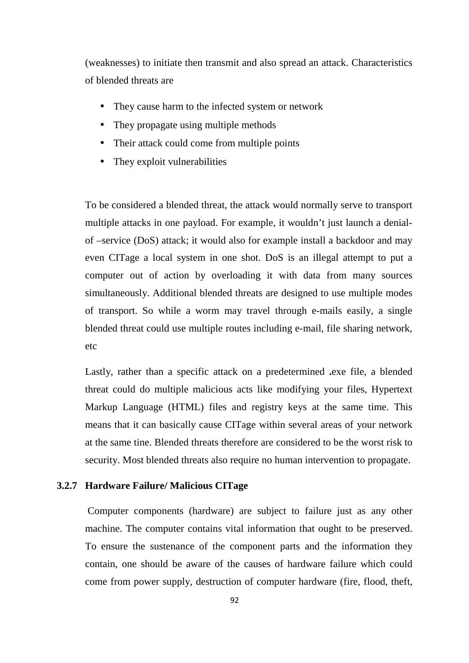(weaknesses) to initiate then transmit and also spread an attack. Characteristics of blended threats are

- They cause harm to the infected system or network
- They propagate using multiple methods
- Their attack could come from multiple points
- They exploit vulnerabilities

To be considered a blended threat, the attack would normally serve to transport multiple attacks in one payload. For example, it wouldn't just launch a denialof –service (DoS) attack; it would also for example install a backdoor and may even CITage a local system in one shot. DoS is an illegal attempt to put a computer out of action by overloading it with data from many sources simultaneously. Additional blended threats are designed to use multiple modes of transport. So while a worm may travel through e-mails easily, a single blended threat could use multiple routes including e-mail, file sharing network, etc

Lastly, rather than a specific attack on a predetermined **.**exe file, a blended threat could do multiple malicious acts like modifying your files, Hypertext Markup Language (HTML) files and registry keys at the same time. This means that it can basically cause CITage within several areas of your network at the same tine. Blended threats therefore are considered to be the worst risk to security. Most blended threats also require no human intervention to propagate.

## **3.2.7 Hardware Failure/ Malicious CITage**

 Computer components (hardware) are subject to failure just as any other machine. The computer contains vital information that ought to be preserved. To ensure the sustenance of the component parts and the information they contain, one should be aware of the causes of hardware failure which could come from power supply, destruction of computer hardware (fire, flood, theft,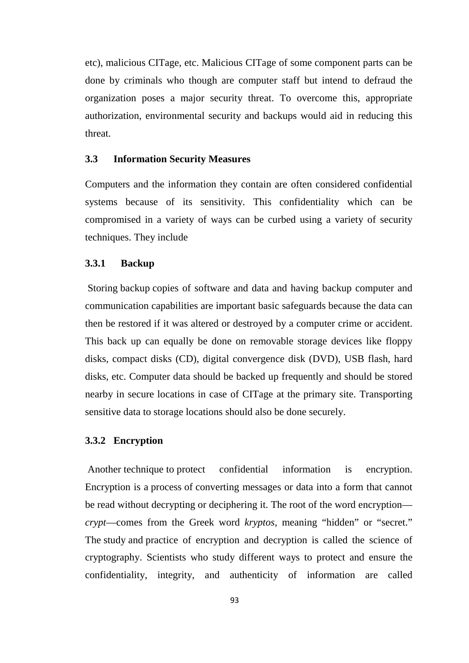etc), malicious CITage, etc. Malicious CITage of some component parts can be done by criminals who though are computer staff but intend to defraud the organization poses a major security threat. To overcome this, appropriate authorization, environmental security and backups would aid in reducing this threat.

## **3.3 Information Security Measures**

Computers and the information they contain are often considered confidential systems because of its sensitivity. This confidentiality which can be compromised in a variety of ways can be curbed using a variety of security techniques. They include

## **3.3.1 Backup**

 Storing backup copies of software and data and having backup computer and communication capabilities are important basic safeguards because the data can then be restored if it was altered or destroyed by a computer crime or accident. This back up can equally be done on removable storage devices like floppy disks, compact disks (CD), digital convergence disk (DVD), USB flash, hard disks, etc. Computer data should be backed up frequently and should be stored nearby in secure locations in case of CITage at the primary site. Transporting sensitive data to storage locations should also be done securely.

#### **3.3.2 Encryption**

Another technique to protect confidential information is encryption. Encryption is a process of converting messages or data into a form that cannot be read without decrypting or deciphering it. The root of the word encryption *crypt*—comes from the Greek word *kryptos*, meaning "hidden" or "secret." The study and practice of encryption and decryption is called the science of cryptography. Scientists who study different ways to protect and ensure the confidentiality, integrity, and authenticity of information are called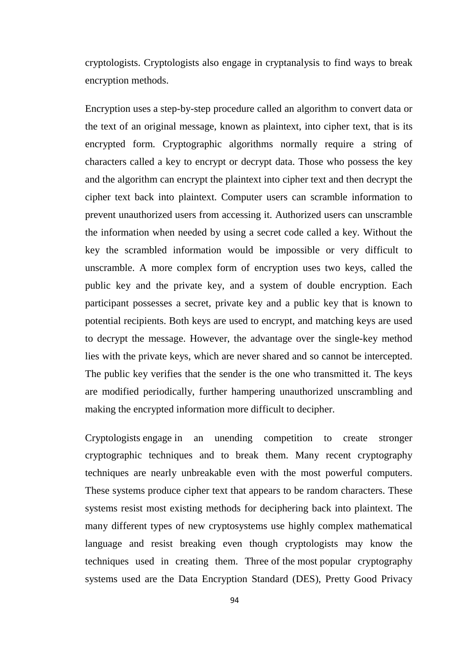cryptologists. Cryptologists also engage in cryptanalysis to find ways to break encryption methods.

Encryption uses a step-by-step procedure called an algorithm to convert data or the text of an original message, known as plaintext, into cipher text, that is its encrypted form. Cryptographic algorithms normally require a string of characters called a key to encrypt or decrypt data. Those who possess the key and the algorithm can encrypt the plaintext into cipher text and then decrypt the cipher text back into plaintext. Computer users can scramble information to prevent unauthorized users from accessing it. Authorized users can unscramble the information when needed by using a secret code called a key. Without the key the scrambled information would be impossible or very difficult to unscramble. A more complex form of encryption uses two keys, called the public key and the private key, and a system of double encryption. Each participant possesses a secret, private key and a public key that is known to potential recipients. Both keys are used to encrypt, and matching keys are used to decrypt the message. However, the advantage over the single-key method lies with the private keys, which are never shared and so cannot be intercepted. The public key verifies that the sender is the one who transmitted it. The keys are modified periodically, further hampering unauthorized unscrambling and making the encrypted information more difficult to decipher.

Cryptologists engage in an unending competition to create stronger cryptographic techniques and to break them. Many recent cryptography techniques are nearly unbreakable even with the most powerful computers. These systems produce cipher text that appears to be random characters. These systems resist most existing methods for deciphering back into plaintext. The many different types of new cryptosystems use highly complex mathematical language and resist breaking even though cryptologists may know the techniques used in creating them. Three of the most popular cryptography systems used are the Data Encryption Standard (DES), Pretty Good Privacy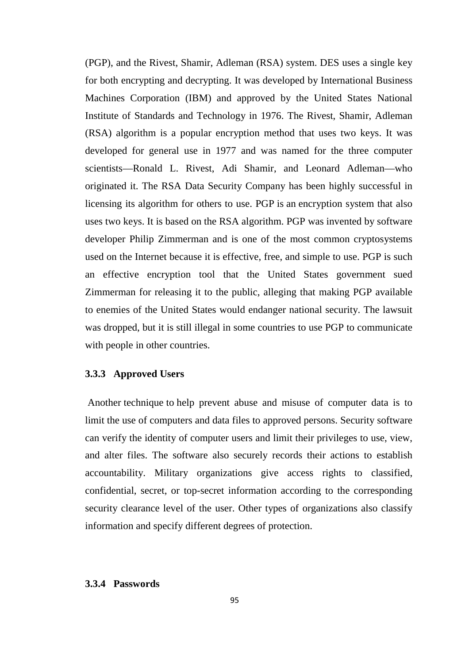(PGP), and the Rivest, Shamir, Adleman (RSA) system. DES uses a single key for both encrypting and decrypting. It was developed by International Business Machines Corporation (IBM) and approved by the United States National Institute of Standards and Technology in 1976. The Rivest, Shamir, Adleman (RSA) algorithm is a popular encryption method that uses two keys. It was developed for general use in 1977 and was named for the three computer scientists—Ronald L. Rivest, Adi Shamir, and Leonard Adleman—who originated it. The RSA Data Security Company has been highly successful in licensing its algorithm for others to use. PGP is an encryption system that also uses two keys. It is based on the RSA algorithm. PGP was invented by software developer Philip Zimmerman and is one of the most common cryptosystems used on the Internet because it is effective, free, and simple to use. PGP is such an effective encryption tool that the United States government sued Zimmerman for releasing it to the public, alleging that making PGP available to enemies of the United States would endanger national security. The lawsuit was dropped, but it is still illegal in some countries to use PGP to communicate with people in other countries.

## **3.3.3 Approved Users**

 Another technique to help prevent abuse and misuse of computer data is to limit the use of computers and data files to approved persons. Security software can verify the identity of computer users and limit their privileges to use, view, and alter files. The software also securely records their actions to establish accountability. Military organizations give access rights to classified, confidential, secret, or top-secret information according to the corresponding security clearance level of the user. Other types of organizations also classify information and specify different degrees of protection.

#### **3.3.4 Passwords**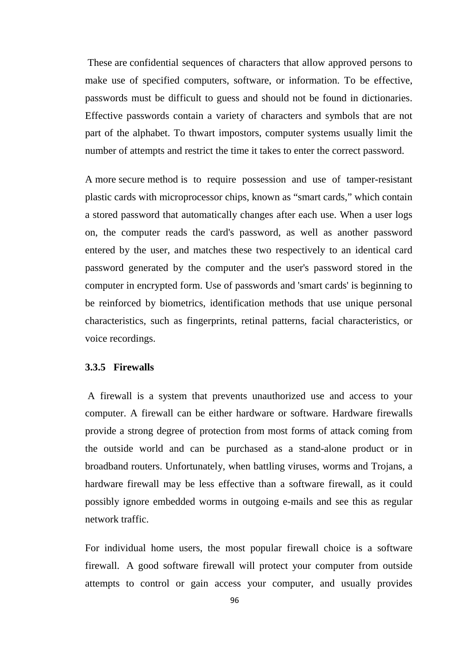These are confidential sequences of characters that allow approved persons to make use of specified computers, software, or information. To be effective, passwords must be difficult to guess and should not be found in dictionaries. Effective passwords contain a variety of characters and symbols that are not part of the alphabet. To thwart impostors, computer systems usually limit the number of attempts and restrict the time it takes to enter the correct password.

A more secure method is to require possession and use of tamper-resistant plastic cards with microprocessor chips, known as "smart cards," which contain a stored password that automatically changes after each use. When a user logs on, the computer reads the card's password, as well as another password entered by the user, and matches these two respectively to an identical card password generated by the computer and the user's password stored in the computer in encrypted form. Use of passwords and 'smart cards' is beginning to be reinforced by biometrics, identification methods that use unique personal characteristics, such as fingerprints, retinal patterns, facial characteristics, or voice recordings.

## **3.3.5 Firewalls**

A firewall is a system that prevents unauthorized use and access to your computer. A firewall can be either hardware or software. Hardware firewalls provide a strong degree of protection from most forms of attack coming from the outside world and can be purchased as a stand-alone product or in broadband routers. Unfortunately, when battling viruses, worms and Trojans, a hardware firewall may be less effective than a software firewall, as it could possibly ignore embedded worms in outgoing e-mails and see this as regular network traffic.

For individual home users, the most popular firewall choice is a software firewall. A good software firewall will protect your computer from outside attempts to control or gain access your computer, and usually provides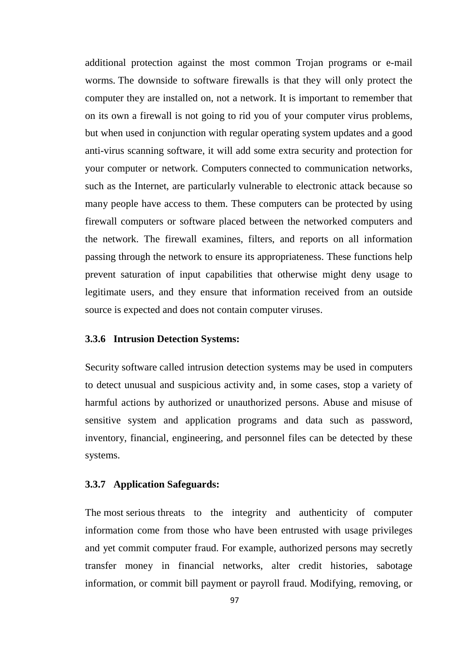additional protection against the most common Trojan programs or e-mail worms. The downside to software firewalls is that they will only protect the computer they are installed on, not a network. It is important to remember that on its own a firewall is not going to rid you of your computer virus problems, but when used in conjunction with regular operating system updates and a good anti-virus scanning software, it will add some extra security and protection for your computer or network. Computers connected to communication networks, such as the Internet, are particularly vulnerable to electronic attack because so many people have access to them. These computers can be protected by using firewall computers or software placed between the networked computers and the network. The firewall examines, filters, and reports on all information passing through the network to ensure its appropriateness. These functions help prevent saturation of input capabilities that otherwise might deny usage to legitimate users, and they ensure that information received from an outside source is expected and does not contain computer viruses.

#### **3.3.6 Intrusion Detection Systems:**

Security software called intrusion detection systems may be used in computers to detect unusual and suspicious activity and, in some cases, stop a variety of harmful actions by authorized or unauthorized persons. Abuse and misuse of sensitive system and application programs and data such as password, inventory, financial, engineering, and personnel files can be detected by these systems.

#### **3.3.7 Application Safeguards:**

The most serious threats to the integrity and authenticity of computer information come from those who have been entrusted with usage privileges and yet commit computer fraud. For example, authorized persons may secretly transfer money in financial networks, alter credit histories, sabotage information, or commit bill payment or payroll fraud. Modifying, removing, or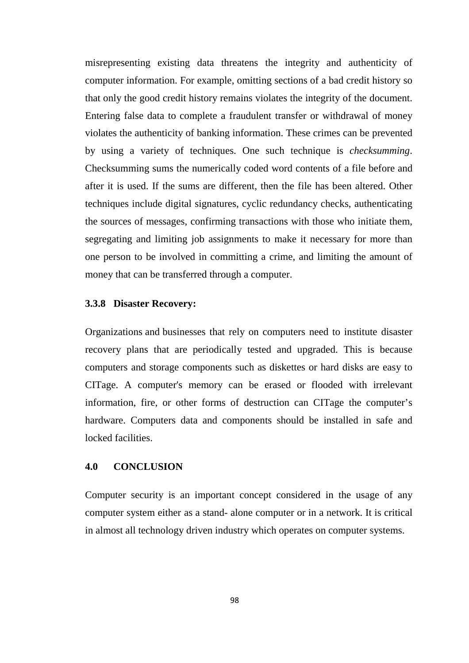misrepresenting existing data threatens the integrity and authenticity of computer information. For example, omitting sections of a bad credit history so that only the good credit history remains violates the integrity of the document. Entering false data to complete a fraudulent transfer or withdrawal of money violates the authenticity of banking information. These crimes can be prevented by using a variety of techniques. One such technique is *checksumming*. Checksumming sums the numerically coded word contents of a file before and after it is used. If the sums are different, then the file has been altered. Other techniques include digital signatures, cyclic redundancy checks, authenticating the sources of messages, confirming transactions with those who initiate them, segregating and limiting job assignments to make it necessary for more than one person to be involved in committing a crime, and limiting the amount of money that can be transferred through a computer.

#### **3.3.8 Disaster Recovery:**

Organizations and businesses that rely on computers need to institute disaster recovery plans that are periodically tested and upgraded. This is because computers and storage components such as diskettes or hard disks are easy to CITage. A computer's memory can be erased or flooded with irrelevant information, fire, or other forms of destruction can CITage the computer's hardware. Computers data and components should be installed in safe and locked facilities.

## **4.0 CONCLUSION**

Computer security is an important concept considered in the usage of any computer system either as a stand- alone computer or in a network. It is critical in almost all technology driven industry which operates on computer systems.